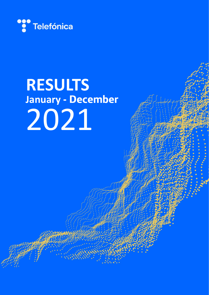

# **RESULTS January - December** 2021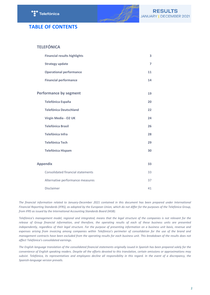

# **TABLE OF CONTENTS**

# **TELEFÓNICA**

| <b>Financial results highlights</b>      | 3              |
|------------------------------------------|----------------|
| <b>Strategy update</b>                   | $\overline{7}$ |
| <b>Operational performance</b>           | 11             |
| <b>Financial performance</b>             | 14             |
| <b>Performance by segment</b>            | 19             |
| <b>Telefónica España</b>                 | 20             |
| <b>Telefónica Deutschland</b>            | 22             |
| Virgin Media - O2 UK                     | 24             |
| <b>Telefónica Brasil</b>                 | 26             |
| Telefónica Infra                         | 28             |
| <b>Telefónica Tech</b>                   | 29             |
| <b>Telefónica Hispam</b>                 | 30             |
|                                          |                |
| <b>Appendix</b>                          | 33             |
| <b>Consolidated financial statements</b> | 33             |
| Alternative performance measures         | 37             |
| Disclaimer                               | 41             |

The financial information related to January-December 2021 contained in this document has been prepared under International Financial Reporting Standards (IFRS), as adopted by the European Union, which do not differ for the purposes of the Telefónica Group, from IFRS as issued by the International Accounting Standards Board (IASB).

Telefónica's management model, regional and integrated, means that the legal structure of the companies is not relevant for the release of Group financial information, and therefore, the operating results of each of these business units are presented independently, regardless of their legal structure. For the purpose of presenting information on a business unit basis, revenue and expenses arising from invoicing among companies within Telefónica's perimeter of consolidation for the use of the brand and *management contracts have been excluded from the operating results for each business unit. This breakdown of the results does not affect Telefónica's consolidated earnings.*

The English language translation of the consolidated financial statements originally issued in Spanish has been prepared solely for the convenience of English speaking readers. Despite all the efforts devoted to this translation, certain omissions or approximations may subsist. Telefónica, its representatives and employees decline all responsibility in this regard. In the event of a discrepancy, the *Spanish-language version prevails.*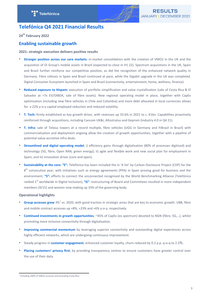

# <span id="page-2-0"></span>**Telefónica Q4 2021 Financial Results**

**24th February 2022**

# **Enabling sustainable growth**

## **2021: strategic execution delivers positive results**

- **Stronger position across our core markets:** in-market consolidation with the creation of VMO2 in the UK and the acquisition of Oi Group's mobile assets in Brazil (expected to close in H1 22). Spectrum acquisitions in the UK, Spain and Brazil further reinforce our competitive position, as did the recognition of the enhanced network quality in Germany. Fibre rollouts in Spain and Brazil continued at pace, while the Gigabit upgrade in the UK was completed. Digital Consumer Ecosystem launched in Spain and Brazil (connectivity, entertainment, home, wellness, finance).
- **Reduced exposure to Hispam:** execution of portfolio simplification and value crystallisation (sale of Costa Rica & El Salvador at >7x EV/OIBDA, sale of fibre assets). New regional operating model in place, together with CapEx optimisation (including new fibre vehicles in Chile and Colombia) and more debt allocated in local currencies allows for a 22% y-o-y capital employed reduction and reduced volatility.
- **T. Tech:** firmly established as key growth driver, with revenues up 33.6% in 2021 to c. €1bn. Capabilities proactively reinforced through acquisitions, including Cancom UK&I, Altostratus and Geprom (industry 4.0 in Q4 21).
- **T. Infra:** sale of Telxius towers at a record multiple, fibre vehicles (UGG in Germany and FiBrasil in Brazil) with commercialisation and deployment ongoing allow the creation of growth opportunities, together with a pipeline of potential value-accretive infra deals.
- **Streamlined and digital operating model**; i) efficiency gains through digitalisation (80% of processes digitised) and technology (5G, fibre, Open RAN, green energy); ii) agile and flexible work and new social plan for employment in Spain; and iii) innovation driver (core and open).
- **Sustainability at the core:** "E": Telefónica has been included the in 'A list' by Carbon Disclosure Project (CDP) for the 8<sup>th</sup> consecutive year, with initiatives such as energy agreements (PPA) in Spain proving good for business and the environment; "S": efforts to connect the unconnected recognised by the World Benchmarking Alliance (Telefónica ranked 1<sup>st</sup> worldwide in Digital Inclusion); "G": restructuring of Board and Committees resulted in more independent members  $(9/15)$  and women now making up 33% of the governing body.

# **Operational highlights**

- Group accesses grew 3%<sup>1</sup> vs. 2020, with good traction in strategic areas that are key to economic growth. UBB, fibre and mobile contract accesses up  $+8\%$ ,  $+23\%$  and  $+6\%$  y-o-y, respectively.
- **Continued investments in growth opportunities**; ~45% of CapEx (ex spectrum) devoted to NGN (fibre, 5G,...), whilst promoting more inclusive connectivity through digitalisation.
- **Improving commercial momentum** by leveraging superior connectivity and outstanding digital experiences across highly efficient networks, which are undergoing continuous improvement.
- Steady progress in **customer engagement**; enhanced customer loyalty, churn reduced by 0.2 p.p. q-o-q to 2.5%.
- Placing customers' privacy first, by providing transparency centres to ensure customers have greater control over the use of their data.

<sup>&</sup>lt;sup>1</sup> Including 100% of VMO2 accesses and excluding Costa Rica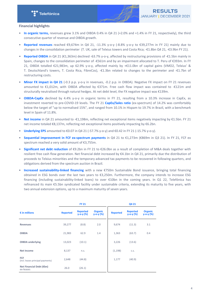

## **Financial highlights**

- In organic terms, revenues grew 3.1% and OIBDA 0.4% in Q4 21 (+2.0% and +1.4% in FY 21, respectively), the third consecutive quarter of revenue and OIBDA growth.
- **Reported revenues** reached  $\epsilon$ 9,674m in Q4 21, -11.3% y-o-y (-8.8% y-o-y to  $\epsilon$ 39,277m in FY 21) mainly due to changes in the consolidation perimeter (T. UK, sale of Telxius towers and Costa Rica; -€1.8bn Q4 21, -€3.9bn FY 21).
- **Reported OIBDA** in Q4 21 (€1,363m) declined -63.7% y-o-y, affected by restructuring provisions of -€1.5bn mainly in Spain, changes to the consolidation perimeter of -€561m and by an impairment allocated to T. Peru of €393m. In FY 21, OIBDA totalled €21,983m, up 62.9% y-o-y, affected mainly by +€11.0bn of capital gains (VMO2, Telxius' & T. Deutschland's towers, T. Costa Rica, FibreCos),  $-\epsilon 1.3$ bn related to changes to the perimeter and  $-\epsilon 1.7$ bn of restructuring costs.
- Minor FX impact in Q4 21 (-0.3 p.p. y-o-y in revenues, -0.2 p.p. in OIBDA). Negative FX impact on FY 21 revenues amounted to €1,012m, with OIBDA affected by €371m. Free cash flow impact was contained to -€121m and structurally neutralised through natural hedges. At net debt level, the FX negative impact was  $\epsilon$ 139m.
- **OIBDA-CapEx** declined by 4.4% y-o-y in organic terms in FY 21, resulting from a 10.3% increase in CapEx, as investment reverted to pre-COVID-19 levels. The FY 21 **CapEx/Sales ratio** (ex-spectrum) of 14.2% was comfortably below the target of "up to normalised 15%", and ranged from 10.1% in Hispam to 19.7% in Brazil, with a benchmark level in Spain of 11.8%.
- **Net income** in Q4 21 amounted to -€1,198m, reflecting net exceptional items negatively impacting by €1.5bn. FY 21 net income totaled €8,137m, reflecting net exceptional items positively impacting by €6.2bn.
- **Underlying EPS** amounted to €0.07 in Q4 21 (-57.7% y-o-y) and €0.42 in FY 21 (-15.7% y-o-y).
- **Sequential improvement in FCF ex-spectrum payments** in Q4 21 to €1,273m (€869m in Q3 21). In FY 21, FCF ex spectrum reached a very solid amount of €3,755m.
- **Significant net debt reduction** of €9.2bn in FY 21 to €26.0bn as a result of completion of M&A deals together with resilient free cash flow generation. Net financial debt increased by  $\epsilon$ 4.1bn in Q4 21, primarily due the distribution of proceeds to Telxius minorities and the temporary advanced tax payments to be recovered in following quarters, and obligations derived from the spectrum auction in Brazil.
- **Increased sustainability-linked financing** with a new €750m Sustainable Bond issuance, bringing total financing obtained in ESG bonds over the last two years to  $\epsilon$ 3,250m. Furthermore, the company intends to increase ESG financing (including sustainability-linked loans) to over  $£10$ bn in the coming years. In Q1 22, Telefónica has refinanced its main  $E$ 5.5bn syndicated facility under sustainable criteria, extending its maturity to five years, with two annual extension options, up to a maximum maturity of seven years.

|                                                 |                 | <b>FY 21</b>                       |                                   | Q4 21           |                                    |                                   |  |
|-------------------------------------------------|-----------------|------------------------------------|-----------------------------------|-----------------|------------------------------------|-----------------------------------|--|
| $\epsilon$ in millions                          | <b>Reported</b> | <b>Reported</b><br>$y - o - y$ (%) | <b>Organic</b><br>$y - o - y (%)$ | <b>Reported</b> | <b>Reported</b><br>$y - o - y$ (%) | <b>Organic</b><br>$y - o - y$ (%) |  |
| <b>Revenues</b>                                 | 39,277          | (8.8)                              | 2.0                               | 9,674           | (11.3)                             | 3.1                               |  |
| <b>OIBDA</b>                                    | 21,983          | 62.9                               | 1.4                               | 1,363           | (63.7)                             | 0.4                               |  |
| <b>OIBDA</b> underlying                         | 13,023          | (10.1)                             |                                   | 3,226           | (13.6)                             |                                   |  |
| <b>Net Income</b>                               | 8,137           | n.s.                               |                                   | (1, 198)        | C.S.                               |                                   |  |
| <b>FCF</b><br>(incl. leases principal payments) | 2,648           | (44.8)                             |                                   | 1,177           | (40.9)                             |                                   |  |
| Net Financial Debt (€bn)<br>ex-leases           | 26.0            | (26.1)                             |                                   |                 |                                    |                                   |  |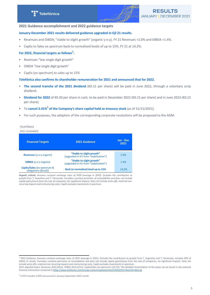## **2021 Guidance accomplishment and 2022 guidance targets**

## January-December 2021 results delivered guidance upgraded in Q2 21 results.

- Revenues and OIBDA; "stable to slight growth" (organic y-o-y). FY 21 Revenues +2.0% and OIBDA +1.4%.
- CapEx to Sales ex spectrum back to normalised levels of up to 15%. FY 21 at 14.2%.

# For 2022, financial targets as follows (organic induding 50% of VMO2JV)<sup>2</sup>:

- Revenues "low single digit growth"
- OIBDA "low single digit growth"
- CapEx (ex spectrum) to sales up to 15%

#### Telefónica also confirms its shareholder remuneration for 2021 and announced that for 2022.

- The second tranche of the 2021 dividend (€0.15 per share) will be paid in June 2022, through a voluntary scrip dividend.
- **Dividend for 2022** of €0.30 per share in cash, to be paid in December 2022 (€0.15 per share) and in June 2023 (€0.15 per share).
- To cancel 2.41%<sup>3</sup> of the Company's share capital held as treasury stock (as of 31/12/2021).
- For such purposes, the adoption of the corresponding corporate resolutions will be proposed to the AGM.

# TELEFÓNICA

## 2021 GUIDANCE

| <b>Financial Targets</b>                            | 2021 Guidance                                                      | Jan - Dec<br>2021 |
|-----------------------------------------------------|--------------------------------------------------------------------|-------------------|
| <b>Revenues (y-o-y organic)</b>                     | "Stable to slight growth"<br>(upgraded in H1 from "stabilisation") | 2.0%              |
| <b>OIBDA</b> (y-o-y organic)                        | "Stable to slight growth"<br>(upgraded in H1 from "stabilisation") | 1.4%              |
| CapEx/Sales (ex-spectrum &<br>obligations (Brazil)) | <b>Back to normalised level up to 15%</b>                          | 14.2%             |

financial information contained in the formation of the formation of the content/uploads/sites/sites/31t4-data.zip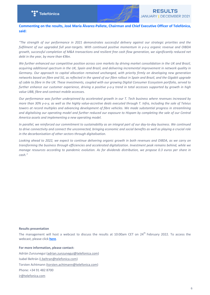

**Commenting on the results, José María Álvarez-Pallete, Chairman and Chief Executive Officer of Telefónica,** said:

*"The strength of our performance in 2021 demonstrates successful delivery against our strategic priorities and the*  fulfilment of our upgraded full year-targets. With continued positive momentum in y-o-y organic revenue and OIBDA growth, successful completion of M&A transactions and resilient free cash flow generation, we significantly reduced net *debt in the year, by more than €9bn.* 

We further enhanced our competitive position across core markets by driving market consolidation in the UK and Brazil, *acquiring additional spectrum in the UK, Spain and Brazil, and delivering incremental improvement in network quality in* Germany. Our approach to capital allocation remained unchanged, with priority firmly on developing new generation networks based on fibre and 5G, as reflected in the speed of our fibre rollout in Spain and Brazil, and the Gigabit upgrade of cable to fibre in the UK. These investments, coupled with our growing Digital Consumer Ecosystem portfolio, served to further enhance our customer experience, driving a positive y-o-y trend in total accesses supported by growth in high value UBB, fibre and contract mobile accesses.

*Our performance was further underpinned by accelerated growth in our T. Tech business where revenues increased by more than 30% y-o-y, as well as the highly value-accretive deals executed through T. Infra, including the sale of Telxius towers* at record multiples and advancing development of fibre vehicles. We made substantial progress in streamlining and digitalising our operating model and further reduced our exposure to Hispam by completing the sale of our Central America assets and implementing a new operating model.

In parallel, we reinforced our commitment to sustainability as an integral part of our day-to-day business. We continued to drive connectivity and connect the unconnected, bringing economic and social benefits as well as playing a crucial role in the decarbonisation of other sectors through digitalisation.

Looking ahead to 2022, we expect to continue delivering organic growth in both revenues and OIBDA, as we carry on transforming the business through efficiencies and accelerated digitalization. Investment peak remains behind, while we *manage resources according to pandemic evolution. As for dividends distribution, we propose 0.3 euros per share in cash."*

#### **Results presentation**

The management will host a webcast to discuss the results at 10:00am CET on  $24<sup>th</sup>$  February 2022. To access the webcast, please click **[here](https://edge.media-server.com/mmc/p/ouu23gcu)**[.](https://edge.media-server.com/mmc/p/ouu23gcu)

#### For more information, please contact:

Adrián Zunzunegui (adrian.zunzunegui@telefonica.com) Isabel Beltrán (i.beltran@telefonica.com) Torsten Achtmann (torsten.achtmann@telefonica.com) Phone: +34 91 482 8700 ir@telefonica.com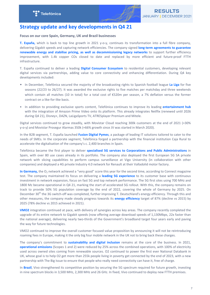

# <span id="page-6-0"></span>**Strategy update and key developments in Q4 21**

Focus on our core Spain, Germany, UK and Brazil businesses

**T.** España, which is back to top line growth in 2021 y-o-y, continues its transformation into a full fibre company, delivering Gigabit speeds and capturing network efficiencies. The company signed **long-term agreements to guarantee** renewable energy and stabilise pricing, as well as decommissioning legacy networks to support further efficiency improvement, with 1.4k copper COs closed to date and replaced by more efficient and future-proof FTTH infrastructure. 

T. España continued to deliver a leading **Digital Consumer Ecosystem** to residential customers, developing relevant digital services via partnerships, adding value to core connectivity and enhancing differentiation. During Q4 key developments included:

- In December, Telefónica secured the majority of the broadcasting rights to Spanish football league La Liga for five seasons (22/23 to 26/27). It was awarded the exclusive rights to five matches per matchday and three weekends which contain all matches (10 in total) for a total cost of  $E$ 520m per season, a 7% deflation versus the former contract on a like-for-like basis.
- In addition to providing exclusive sports content, Telefónica continues to improve its leading *entertainment hub* with the integration of Amazon Prime Video onto its platform. This already integrates Netflix (renewed until 2026 during Q4 21), Disney+, DAZN, LaLigaSports TV, ATRESplayer Premium and Mitele.

Digital services continued to grow steadily, with Movistar Cloud reaching 300k customers at the end of 2021 (+30% y-o-y) and Movistar Prosegur Alarmas 350k (+66% growth since JV was started in March 2020).

In the B2B segment, T. España launched **Fusion Digital Pymes**, a package of leading IT solutions tailored to cater to the needs of SMEs. In the corporate segment, Telefónica forged a partnership with the financial institution Caja Rural to accelerate the digitalisation of the company's c. 2,400 branches in Spain.

Telefónica became the first player to deliver **specialised 5G services to Corporations and Public Administrations** in Spain, with over 80 use cases already in its portfolio. The company also deployed the first European 5G SA private network with slicing capabilities to perform campus surveillance at Vigo University (in collaboration with other companies) and deployed a 4G private Industry 4.0 network for Renault at their Valladolid motor factory.

In Germany, the O<sub>2</sub> network achieved a "very good" score this year for the second time, according to Connect magazine test. The company maintained its focus on delivering a **leading 5G experience** to its customer base with continuous investment in network expansion, focus on fast 5G and top network performance. The 5G first sites using 700 MHz and 1800 Mz became operational in Q4 21, marking the start of accelerated 5G rollout. With this, the company remains on track to provide 50% 5G population coverage by the end of 2022, covering the whole of Germany by 2025. On December  $30<sup>th</sup>$  the 3G switch-off was completed, further improving T. Deutschland's energy efficiency. Through this and other measures, the company made steady progress towards its **energy efficiency** target of 87% (decline vs 2015) by 2025 (78% decline vs 2015 achieved in 2021).

**VMO2** integration continued at pace, with delivery of synergies across key areas. The company recently completed the upgrade of its entire network to Gigabit speeds (now offering average download speeds of 1,130Mbps, 22x faster than the national average), delivering nearly two-thirds of the Government's broadband target four years early and paving the way for future technologies.

VMO2 continued to improve the overall customer focused value proposition by announcing it will not be reintroducing roaming fees in Europe, making it the only big four mobile network in the UK not to bring back these charges.

The company's commitment to **sustainability and digital inclusion** remains at the core of the business. In 2021, **operational emissions** (Scopes 1 and 2) were reduced by 25% across the combined operations, with 100% of electricity used across owned sites coming from renewable sources. O2 continued to power the first ever National Databank in UK, whose goal is to help O2 get more than 255k people living in poverty get connected by the end of 2023, with a new partnership with The Big Issue to ensure that people who really need connectivity can have it, free of charge.

In **Brazil**, Vivo strengthened its competitive position by securing the 5G spectrum required for future growth, investing in nine spectrum blocks in 3,500 MHz, 2,300 MHz and 26 GHz. In fixed, Vivo continued to deploy new FTTH premises.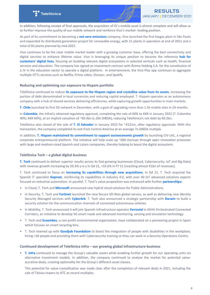

In addition, following receipt of final approvals, the acquisition of Oi's mobile asset is almost complete and will allow us to further improve the quality of our mobile network and reinforce Vivo's market- leading position.

As part of its commitment to becoming a **net-zero emissions** company, Vivo launched the first biogas plant in São Paulo and expanded its distributed generation project for renewable energy, with 21 plants in operation at end of 2021 and a total of 83 plants planned by mid-2022.

Vivo continues to be the clear mobile market leader with a growing customer base, offering the best connectivity and digital services to enhance lifetime value. Vivo is leveraging its unique position to become the reference **hub for** customers' digital lives, focusing on building relevant digital ecosystems in selected verticals such as health, financial services and education. The company has signed an investment contract with Ânima Holding S.A. for the constitution of a JV in the education sector to operate a digital platform. In entertainment, the Vivo Play app continues to aggregate multiple OTTs services such as Netflix, Prime video, Disney+, and Spotify.

#### **Reducing and optimising our exposure to Hispam portfolio**

Telefónica continued to reduce its exposure to the Hispam region and crystallise value from its assets, increasing the portion of debt denominated in local currencies and reducing capital employed. T. Hispam operates as an autonomous company with a hub of shared services delivering efficiencies, while capturing growth opportunities in main markets.

**T. Chile** launched its first 5G network in December, with a goal of upgrading more than 1.5k mobile sites in 24 months.

In **Colombia**, the InfraCo obtained regulatory approval, completing the sale of 60% to KKR in January 2022 (T. Colombia 40%; KKR 60%), at an implicit valuation of ~€0.4bn (c.20x OIBDA), reducing Telefónica's net debt by €0.2bn.

Telefónica also closed of the sale of T. El Salvador in January 2022 for ~€121m, after regulatory approvals. With this transaction, the company completed its exit from Central America at an average 7x OIBDA multiple.

In addition, T. Hispam maintained its commitment to support socioeconomic growth by launching CIV-LAC, a regional corporate entrepreneurial platform. The initiative will help scale up  $\sim$ 600 startups through open innovation processes with large and medium-sized Spanish and Latam companies, thereby helping to boost the digital ecosystem.

# Telefónica Tech – a global digital business

**T. Tech** continued to deliver superior results across its fast-growing businesses (Cloud, Cybersecurity, IoT and Big Data) with revenue growth increasing by 50.3% y-o-y in Q4 21, +33.6% in FY 21 (reaching almost €1bn of revenues).

T. Tech continued to focus on *increasing its capabilities through new acquisitions*. In Q4 21, T. Tech acquired the Spanish IT specialist **Geprom**, reinforcing its capabilities in Industry 4.0, with over 40 IoT advanced solutions experts focused on industrial automation. In parallel, T. Tech's value proposition was enhanced with further **partnerships:** 

- In Cloud, T. Tech and **Microsoft** announced new hybrid cloud solutions for Public Administrations.
- In Security, T. Tech and **Fortinet** launched the new Secure SD-Wan global service, as well as delivering new Identity Security Managed services with CyberArk. T. Tech also announced a strategic partnership with Darwin to build a security solution for the communication channels of connected autonomous vehicles.
- In Mobility, T. Tech announced it will join Spanish infrastructure operator **Ferrovial** in AIVIA Orchestrated Connected Corridors, an initiative to develop 5G smart roads and advanced monitoring, sensing and simulation technology.
- T. Tech and **Ecoembes**, a non-profit environmental organisation, have collaborated on a pioneering project in Spain which focuses on smart recycling bins.
- T. Tech teamed up with **Goodjob Foundation** to boost the integration of people with disabilities in the workplace, hiring >30 people and providing them with Cybersecurity training so they can work in a Security Operations Centre.

#### Continued development of Telefónica Infra – our growing global infrastructure business

• **T.** Infra continued to manage the Group's valuable assets while enabling further growth for our operating units via alternative investment models. In addition, the company continued to analyse the market for potential valueaccretive deals, creating optionality for the Group's different asset classes.

This potential for value crystallisation was made clear after the completion of relevant deals in 2021, including the sale of Telxius towers to ATC at record multiples.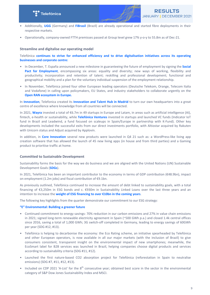



- Additionally, UGG (Germany) and FiBrasil (Brazil) are already operational and started fibre deployments in their respective markets.
- Operationally, company-owned FTTH premisses passed at Group level grew 17% y-o-y to 55.8m as of Dec-21.

## **Streamline and digitalise our operating model**

Telefónica **continues to strive for enhanced efficiency and to drive digitalisation initiatives across its operating businesses and corporate centre:** 

- In December, T. España announced a new milestone in guaranteeing the future of employment by signing the **Social** Pact for Employment, encompassing six areas: equality and diversity; new ways of working, flexibility and productivity; incorporation and retention of talent; reskilling and professional development; functional and geographical mobility and a plan for the voluntary individual suspension of the employment relationship.
- In November, Telefónica joined four other European leading operators (Deutsche Telekom, Orange, Telecom Italia and Vodafone) in calling upon policymakers, EU States, and industry stakeholders to collaborate urgently on the **Open RAN ecosystem in Europe.**

In **Innovation**, Telefonica created its *Innovation* and Talent Hub in Madrid to turn our own headquarters into a great centre of excellence where knowledge from all countries will be connected.

In 2021, **Wayra** invested a total of €6.7m in 49 startups in Europe and Latam, in areas such as artificial intelligence (AI), fintech, e-health or sustainability, while Telefonica Ventures invested in startups and launched VC funds (Indicator IoT fund in Brazil and Leadwind, a fund focused on scaleups in Spain/Europe in partnership with K-Fund). Other key developments included the successful exits from our direct investments portfolio, with Altiostar acquired by Rakuten with Unicorn status and Adjust acquired by Applovin.

In addition, in **Core Innovation** several new products were launched in Q4 21 such as: a WordPress-like living app creation software that has allowed the launch of 45 new living apps (in house and from third parties) and a Gaming product to prioritise traffic at home.

## **Committed to Sustainable Development**

Sustainability forms the basis for the way we do business and we are aligned with the United Nations (UN) Sustainable Development Goals (**SDGs**).

In 2021, Telefónica has been an important contributor to the economy in terms of GDP contribution (€48.9bn), impact on employment (1.2m jobs) and fiscal contribution of  $\epsilon$ 9.1bn.

As previously outlined, Telefónica continued to increase the amount of debt linked to sustainability goals, with a total financing of  $\epsilon$ 3,250m in ESG bonds and c.  $\epsilon$ 930m in Sustainability Linked Loans over the last three years and an intention to increase the **weight of ESG financing to over €10bn in the coming years**.

The following key highlights from the quarter demonstrate our commitment to our ESG strategy:

#### **"E" Environmental: Building a greener future**

- Continued commitment to energy savings: 70% reduction in our carbon emissions and 27% in value chain emissions in 2021; signed long-term renewable electricity agreement in Spain (~500 GWh p.a.) and closed 1.4k central offices since 2016, saving a total of 1,000 GWh; 3G switch-off completed in Germany, leading to energy savings of 60GWh per year (SDG #12, #13).
- Telefónica is helping to decarbonise the economy: the Eco Rating scheme, an initiative spearheaded by Telefónica and other European operators, is now available in all our major markets (with the inclusion of Brazil) to give consumers consistent, transparent insight on the environmental impact of new smartphones; meanwhile, the EcoSmart label for B2B services was launched in Brazil, helping companies choose digital products and services according to sustainability criteria (SDG #11, #12).
- Launched the first nature-based CO2 absorption project for Telefónica (reforestation in Spain to neutralise emissions) (SDG #7, #11, #12, #13).
- Included on CDP 2021 'A-List' for the  $8^{th}$  consecutive year; obtained best score in the sector in the environmental category of S&P Dow Jones Sustainability Index and MSCI.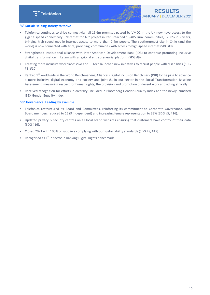

## **"S" Social: Helping society to thrive**

- Telefónica continues to drive connectivity: all 15.6m premises passed by VMO2 in the UK now have access to the gigabit speed connectivity. "Internet for All" project in Peru reached 13,485 rural communities, +238% in 2 years, bringing high-speed mobile internet access to more than 2.4m people. The southernmost city in Chile (and the world) is now connected with fibre, providing communities with access to high-speed internet (SDG #9).
- Strengthened institutional alliance with Inter-American Development Bank (IDB) to continue promoting inclusive digital transformation in Latam with a regional entrepreneurial platform (SDG #9).
- Creating more inclusive workplace: Vivo and T. Tech launched new initiatives to recruit people with disabilities (SDG #8, #10).
- Ranked 1<sup>st</sup> worldwide in the World Benchmarking Alliance's Digital Inclusion Benchmark (DIB) for helping to advance a more inclusive digital economy and society and joint #1 in our sector in the Social Transformation Baseline Assessment, measuring respect for human rights, the provision and promotion of decent work and acting ethically.
- Received recognition for efforts in diversity: included in Bloomberg Gender-Equality Index and the newly launched **IBEX Gender Equality Index.**

## **"G" Governance: Leading by example**

- Telefónica restructured its Board and Committees, reinforcing its commitment to Corporate Governance, with Board members reduced to 15 (9 independent) and increasing female representation to 33% (SDG #5, #16).
- Updated privacy & security centres on all local brand websites ensuring that customers have control of their data (SDG #16).
- Closed 2021 with 100% of suppliers complying with our sustainability standards (SDG #8, #17).
- Recognised as  $1^{st}$  in sector in Ranking Digital Rights benchmark.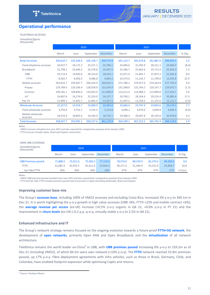

# <span id="page-10-0"></span>**Operational performance**

TELEFÓNICA ACCESSES *Unaudited figures* 

*(thousands)*

|                              |           |           | 2020      |           |           |           |           |           |       |
|------------------------------|-----------|-----------|-----------|-----------|-----------|-----------|-----------|-----------|-------|
|                              | March     | June      | September | December  | March     | June      | September | December  | % Chg |
| <b>Retail Accesses</b>       | 336,610.7 | 331,436.4 | 335,158.7 | 339,715.9 | 341,122.7 | 343,474.8 | 341,887.8 | 344,945.5 | 1.5   |
| Fixed telephony accesses     | 34,927.7  | 34,172.2  | 33,371.1  | 32,706.1  | 32,006.6  | 31,395.9  | 30,521.3  | 29,966.9  | (8.4) |
| <b>Broadband</b>             | 25,798.1  | 25,640.2  | 25,578.8  | 25,497.5  | 25,586.7  | 25,662.6  | 25,713.4  | 25,833.3  | 1.3   |
| <b>UBB</b>                   | 19,713.4  | 19,943.6  | 20,314.8  | 20,633.1  | 21,071.9  | 21,481.7  | 21,873.3  | 22,281.8  | 8.0   |
| <b>FTTH</b>                  | 8,565.7   | 8,950.3   | 9,486.8   | 9,964.2   | 10,574.6  | 11,142.7  | 11,709.8  | 12,243.8  | 22.9  |
| Mobile accesses              | 263,652.7 | 259,467.7 | 264,224.9 | 269,643.1 | 271,780.1 | 274,917.0 | 274,263.8 | 277,793.3 | 3.0   |
| Prepay                       | 129,784.0 | 126,336.4 | 128,978.9 | 131,676.4 | 131,508.6 | 131,764.2 | 129,147.7 | 129,675.7 | (1.5) |
| Contract                     | 109,181.1 | 108,856.6 | 110,022.0 | 111,808.9 | 113,511.4 | 114,988.2 | 115,899.8 | 117,432.1 | 5.0   |
| <b>IoT</b>                   | 24,687.6  | 24,274.6  | 25,224.0  | 26,157.7  | 26,760.1  | 28,164.6  | 29,216.4  | 30,685.4  | 17.3  |
| Pay TV                       | 11,909.1  | 11,832.7  | 11,665.4  | 11,557.5  | 11,447.2  | 11,258.2  | 11,152.0  | 11,111.7  | (3.9) |
| <b>Wholesale Accesses</b>    | 22,327.0  | 22,554.7  | 23,068.9  | 22,455.0  | 23,066.4  | 23,747.4  | 23,854.6  | 24,173.3  | 7.7   |
| Fixed wholesale accesses     | 3,793.6   | 3,753.1   | 3,742.5   | 3,722.8   | 3,698.1   | 3,679.6   | 3,699.8   | 3,694.5   | (0.8) |
| Mobile wholesale<br>accesses | 18,533.4  | 18,801.6  | 19,326.4  | 18,732.1  | 19,368.3  | 20,067.8  | 20,154.8  | 20,478.8  | 9.3   |
| <b>Total Accesses</b>        | 358,937.7 | 353,991.1 | 358,227.6 | 362,170.9 | 364,189.1 | 367,222.2 | 365,742.4 | 369,118.9 | 1.9   |

*Notes:*

- VMO2 accesses included since June 2021 and also reported for comparative purposes from January 2020.

- FTTH accesses includes Spain, Brazil and Hispam connections.

| OWN UBB COVERAGE                        |          |          |           |          |          |          |           |          |          |
|-----------------------------------------|----------|----------|-----------|----------|----------|----------|-----------|----------|----------|
| <b>Unaudited figures</b><br>(thousands) |          |          | 2020      |          |          |          |           |          |          |
|                                         | March    | June     | September | December | March    | June     | September | December | % Chg    |
| <b>UBB Premises passed</b>              | 71,808.5 | 73.321.6 | 75,283.3  | 77.110.6 | 78.574.9 | 80.370.9 | 82.270.4  | 84,503.6 | 9.6      |
| <b>FTTH</b>                             | 41,082.9 | 42.952.5 | 45.611.0  | 47.824.2 | 49,271.3 | 51.444.9 | 53.522.9  | 55.838.7 | 16.8     |
| Up-Take FTTH                            | 26%      | 26%      | 26%       | 26%      | 27%      | 27%      | 27%       | 27%      | 1.0 p.p. |

*Notes:*

*- VMO2 UBB premises passed included since June 2021 and also reported for comparative purposes from January 2020.*

- FTTH and Up-Take FTTH includes premises passed and connections in Spain (including wholesale), Brazil and Hispam.

#### **Improving customer base mix**

The Group's **accesses base**, including 100% of VMO2 accesses and excluding Costa Rica, increased 3% y-o-y to 369.1m in Dec-21. It is worth highlighting the y-o-y growth in high value accesses (UBB +8%, FTTH +23% and mobile contract +6%), the **average revenue per access** (ex-UK) increase (+0.5% y-o-y organic in Q4 21, +0.6% y-o-y in FY 21) and the improvement in **churn levels** (ex-UK) (-0.2 p.p. q-o-q, virtually stable y-o-y to 2.5% in Q4 21).

#### **Enhanced infrastructure and IT**

The Group's network strategy remains focused on the ongoing evolution towards a future-proof FTTH+5G network; the development of **open networks**, primarily Open RAN and Open Broadband; and the **virtualisation** of all network architecture. 

Telefónica remains the world leader ex-China<sup>4</sup> in UBB, with **UBB premises passed** increasing 6% y-o-y to 159.2m as of Dec-21 (including VMO2), of which 84.5m were own network (+10% y-o-y). The FTTH network reached 55.8m premises passed, up 17% y-o-y. Fibre deployment agreements with infra vehicles, such as those in Brazil, Germany, Chile, and Colombia, have enabled footprint expansion while optimising CapEx and returns.

<sup>&</sup>lt;sup>4</sup> Source: Analysys Mason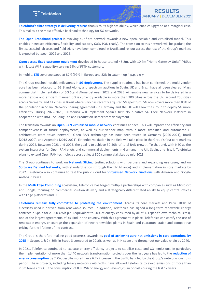

Telefónica's fibre strategy is delivering returns thanks to its high scalability, which enables upgrade at a marginal cost. This makes it the most effective backhaul technology for 5G networks.

**The Open Broadband project** is evolving our fibre network towards a new open, scalable and virtualised model. This enables increased efficiency, flexibility, and capacity (XGS-PON ready). The transition to this network will be gradual; the first successful lab tests and field trials have been completed in Brazil, and rollout across the rest of the Group's markets is expected between 2022 and 2025.

**Open access fixed customer equipment** developed in-house totaled 45.2m, with 10.7m "Home Gateway Units" (HGUs with latest Wi-Fi capability) serving 94% of FTTH customers.

In mobile, LTE coverage stood at  $87\%$  (99% in Europe and  $82\%$  in Latam), up 4 p.p.  $y$ -o-y.

The Group reached notable milestones in 5G deployment. The supplier roadmap has been confirmed, the multi-vendor core has been adapted to 5G Stand Alone, and spectrum auctions in Spain, UK and Brazil have all been cleared. Mass commercial implementation of 5G Stand Alone between 2022 and 2025 will enable new services to be delivered in a more flexible and efficient manner. 5G is currently available in more than 300 cities across the UK, around 250 cities across Germany, and 14 cities in Brazil where Vivo has recently acquired 5G spectrum. 5G now covers more than 80% of the population in Spain. Network sharing agreements in Germany and the UK will allow the Group to deploy 5G more efficiently. During 2022-2023, Telefónica will implement Spain's first cloud-native 5G Core Network Platform in cooperation with IBM, including Lab and Production Datacenters deployment.

The transition towards an **Open RAN virtualised mobile network** continues at pace. This will improve the efficiency and competitiveness of future deployments, as well as our vendor map, with a more simplified and automated IT architecture (zero touch network). Open RAN technology has now been tested in Germany (2020-2021), Brazil (2018-2020), and Argentina (2019-2021). Extended validation in the field will take place in the Group's four core markets during 2022. Between 2023 and 2025, the goal is to achieve 30-50% of total RAN growth. To that end, with NEC as the system integrator for Open RAN pilots and commercial deployments in Germany, the UK, Spain, and Brazil, Telefónica plans to extend Open RAN technology across at least 800 commercial sites by mid-2023.

The Group continues to work on Network Slicing, testing solutions with partners and expanding use cases, and on **Software Defined Networks**, with standardisation (through the TIP Alliance) and implementation in core markets by 2022. Telefónica also continues to test the public cloud for Virtualised Network Functions with Amazon and Google Anthos in Brazil.

In the **Multi Edge Computing** ecosystem, Telefónica has forged multiple partnerships with companies such as Microsoft and Google, focusing on commercial solution delivery and a strategically differentiated ability to equip central offices with Edge platforms and 5G.

Telefónica remains fully committed to protecting the environment. Across its core markets and Peru, 100% of electricity used is derived from renewable sources. In addition, Telefónica has signed a long-term renewable energy contract in Spain for c. 500 GWh p.a. (equivalent to 50% of energy consumed by all of T. España's own technical sites), one of the largest agreements of its kind in the country. With this agreement in place, Telefónica can certify the use of renewable energy, encourage the expansion of new renewables plants in Spain and guarantee stable and competitive pricing for the lifetime of the contract.

The Group is therefore making good progress towards its **goal of achieving zero net emissions in core operations by 2025** in Scopes 1 & 2 (-39% in Scope 3 compared to 2016), as well as in Hispam and throughout our value chain by 2040.

In 2021, Telefónica continued to execute energy efficiency projects to stabilise costs and  $CO_2$  emissions. In particular, the implementation of more than 1,440 network transformation projects over the last years has led to the reduction of **energy consumption** by 7.2%, despite more than a 6.7x increase in the traffic handled by the Group's networks over this period. These projects, including legacy network switch-offs, have allowed Telefónica to avoid emissions of more than 2.6m tonnes of CO<sub>2</sub>, the consumption of 8.8 TWh of energy and save €1,266m of costs during the last 12 years.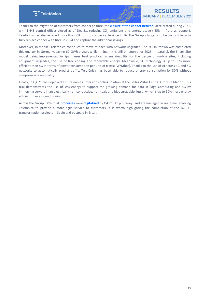

Thanks to the migration of customers from copper to fibre, the **closure of the copper network** accelerated during 2021, with 1,448 central offices closed as of Dec-21, reducing  $CO_2$  emissions and energy usage (-85% in fibre vs. copper). Telefónica has also recycled more than 81k tons of copper cable since 2016. The Group's target is to be the first telco to fully replace copper with fibre in 2024 and capture the additional savings.

Moreover, in mobile, Telefónica continues to move at pace with network upgrades. The 3G shutdown was completed this quarter in Germany, saving 60 GWh a year, while in Spain it is still on course for 2025. In parallel, the Smart Site model being implemented in Spain uses best practices in sustainability for the design of mobile sites, including equipment upgrades, the use of free cooling and renewable energy. Meanwhile, 5G technology is up to 90% more efficient than 4G in terms of power consumption per unit of traffic (W/Mbps). Thanks to the use of AI across 4G and 5G networks to automatically predict traffic, Telefónica has been able to reduce energy consumption by 30% without compromising on quality.

Finally, in Q4 21, we deployed a sustainable immersion cooling solution at the Bellas Vistas Central Office in Madrid. This trial demonstrates the use of less energy to support the growing demand for data in Edge Computing and 5G by immersing servers in an electrically non-conductive, non-toxic and biodegradable liquid, which is up to 50% more energy efficient than air-conditioning.

Across the Group, 80% of all **processes** were **digitalised** by Q4 21 (+1 p.p. y-o-y) and are managed in real time, enabling Telefónica to provide a more agile service to customers. It is worth highlighting the completion of the B2C IT transformation projects in Spain and postpaid in Brazil.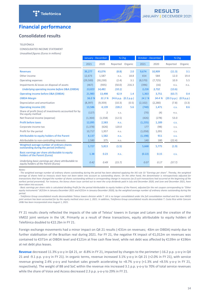

# <span id="page-13-0"></span>**Financial performance**

# **Consolidated results**

#### TELEFÓNICA

CONSOLIDATED INCOME STATEMENT

*Unaudited figures (Euros in millions)*

|                                                                                             |          | January - December | % Chg                  |       | October - December |          | % Chg       |            |
|---------------------------------------------------------------------------------------------|----------|--------------------|------------------------|-------|--------------------|----------|-------------|------------|
|                                                                                             | 2021     | 2020               | Reported Organic       |       | 2021               | 2020     | Reported    | Organic    |
| <b>Revenues</b>                                                                             | 39,277   | 43,076             | (8.8)                  | 2.0   | 9.674              | 10,909   | (11.3)      | 3.1        |
| Other income                                                                                | 12,673   | 1.587              | n.s.                   | 18.8  | 654                | 584      | 12.0        | 19.4       |
| Operating expenses                                                                          | (29,500) | (30, 230)          | (2.4)                  | 3.1   | (8,570)            | (7, 725) | 10.9        | 5.5        |
| Impairments & losses on disposal of assets                                                  | (467)    | (935)              | (50.0)                 | 216.3 | (396)              | (16)     | n.s.        | n.s.       |
| Underlying operating income before D&A (OIBDA)                                              | 13,023   | 14,481             | (10.1)                 |       | 3,226              | 3,732    | (13.6)      |            |
| Operating income before D&A (OIBDA)                                                         | 21,983   | 13,498             | 62.9                   | 1.4   | 1,363              | 3,751    | (63.7)      | 0.4        |
| <b>OIBDA Margin</b>                                                                         | 56.0 %   | 31.3 %             | 24.6 p.p. $(0.2 p.p.)$ |       | 14.1 %             | 34.4 %   | (20.3 p.p.) | (0.9 p.p.) |
| Depreciation and amortisation                                                               | (8, 397) | (9,359)            | (10.3)                 | (0.5) | (2, 102)           | (2,280)  | (7.8)       | (3.3)      |
| <b>Operating income (OI)</b>                                                                | 13,586   | 4,139              | 228.2                  | 5.6   | (740)              | 1,471    | C.S.        | 8.6        |
| Share of profit (loss) of investments accounted for by<br>the equity method                 | (127)    | 2                  | C.S.                   |       | (70)               | (4)      | n.S.        |            |
| Net financial income (expense)                                                              | (1, 364) | (1,558)            | (12.5)                 |       | (426)              | (278)    | 53.0        |            |
| Profit before taxes                                                                         | 12,095   | 2,583              | n.s.                   |       | (1,235)            | 1,189    | <b>C.S.</b> |            |
| Corporate income tax                                                                        | (1, 378) | (626)              | 120.0                  |       | 177                | (98)     | C.S.        |            |
| Profit for the period                                                                       | 10,717   | 1,957              | n.s.                   |       | (1,058)            | 1,091    | C.S.        |            |
| Attributable to equity holders of the Parent                                                | 8,137    | 1,582              | n.s.                   |       | (1, 198)           | 911      | C.S.        |            |
| Attributable to non-controlling interests                                                   | 2,580    | 375                | n.s.                   |       | 140                | 180      | (22.4)      |            |
| Weighted average number of ordinary shares<br>outstanding during the period (millions)      | 5,727    | 5,813              | (1.5)                  |       | 5,668              | 5,775    | (1.9)       |            |
| Basic earnings per share attributable to equity<br>holders of the Parent (Euros)            | 1.38     | 0.23               | n.s.                   |       | (0.22)             | 0.15     | C.S.        |            |
| Underlying basic earnings per share attributable to<br>equity holders of the Parent (Euros) | 0.42     | 0.49               | (15.7)                 |       | 0.07               | 0.17     | (57.7)      |            |

*Notes:*

- The weighted average number of ordinary shares outstanding during the period has been obtained applying the IAS rule 33 "Earnings per share". Thereby, the weighted average of shares held as treasury stock have not been taken into account as outstanding shares. On the other hand, the denominator is retrospectively adjusted for transactions that have changed the number of shares outstanding without a corresponding change in resources (as if such transactions had occurred at the beginning of the earliest period presented). For instance, the bonus share issue carried out to meet the scrip dividends paid in July and December 2020, and June and December 2021, have *been taken into account.*

- Basic earnings per share ratio is calculated dividing Profit for the period Attributable to equity holders of the Parent, adjusted for the net coupon corresponding to "Other equity instruments" (€253m in January-December 2021 and €251m in January-December 2020), by the weighted average number of ordinary shares outstanding during the *period.*

- Telefónica Group consolidated results deconsolidate Telxius towers division while T. UK is no longer consolidated under the full consolidation method and the new VMO2 *joint* venture has been accounted for by the equity method since June 1, 2021. In addition, Telefónica Group consolidated results deconsolidate T. Costa Rica while Cancom UK&I has been incorporated since August 1, 2021.

FY 21 results clearly reflected the impacts of the sale of Telxius' towers in Europe and Latam and the creation of the VMO2 joint venture in the UK. Primarily as a result of these transactions, equity attributable to equity holders of Telefónica doubled to €22.2bn in FY 21.

Foreign exchange movements had a minor impact on Q4 21 results (-€31m on revenues; -€6m on OIBDA) mainly due to further stabilisation of the Brazilian real during 2021. For FY 21, the negative FX impact of  $\epsilon$ 1,012m on revenues was contained to €371m at OIBDA level and €121m at free cash flow level, while net debt was affected by €139m or €196m at net debt plus leases.

**Revenue** decreased 11.3% y-o-y in Q4 21, or -8.8% in FY 21, impacted by changes to the perimeter (-16.2 p.p. y-o-y in Q4 21 and -9.1 p.p. y-o-y in FY 21). In organic terms, revenue increased  $3.1\%$  y-o-y in Q4 21 (+2.0% in FY 21), with service revenue growing 2.4% y-o-y and handset sales growth accelerating to  $+8.7\%$  y-o-y (+1.3% and  $+8.5\%$  y-o-y in FY 21, respectively). The weight of BB and SoC within the revenue mix increased 3.1 p.p. y-o-y to 70% of total service revenues while the share of Voice and Access decreased 2.3 p.p. y-o-y to 29% in FY 21.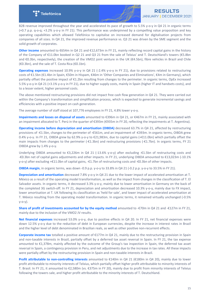

B2B revenue improved throughout the year and accelerated its pace of growth to 5.5% y-o-y in Q4 21 in organic terms  $(+0.7 \text{ p.p. } q$ -o-q;  $+3.2\%$  y-o-y in FY 21). This performance was underpinned by a compelling value proposition and key operating capabilities which allowed Telefónica to capitalise on increased demand for digitalisation projects from companies of all sizes. In Q4 21, the improved revenue performance vs. Q3 21 was driven by the SME segment and the solid growth of corporates.

**Other income** amounted to €654m in Q4 21 and €12,673m in FY 21, mainly reflecting record capital gains in the history of the Company of  $E11.0$ bn booked in Q2 21 and Q3 21 from the sale of Telxius' and T. Deutschland's towers ( $E5.8$ bn and  $€0.3$ bn, respectively), the creation of the VMO2 joint venture in the UK ( $€4.5$ bn), fibre vehicles in Brazil and Chile  $(€0.3bn)$ , and the sale of T. Costa Rica  $(€0.1bn)$ .

**Operating expenses** increased 10.9% y-o-y in Q4 21 (-2.4% y-o-y in FY 21), due to provisions related to restructuring costs of €1.5bn (€1.4bn in Spain, €50m in Hispam, €46m in 'Other Companies and Eliminations', €4m in Germany), which partially offset the positive impact of €1.2bn resulting from changes to the perimeter. In organic terms, OpEx increased 5.5% y-o-y in Q4 21 (+3.1% y-o-y in FY 21), due to higher supply costs, mainly in Spain (higher IT and handsets costs), and to a lesser extent, higher personnel costs.

The above mentioned restructuring provisions did not impact free cash flow generation in Q4 21. They were carried out within the Company's transformation and simplification process, which is expected to generate incremental savings and efficiencies with a positive impact on cash generation.

The average number of staff stood at 107,776 employees in FY 21, 4.8% lower y-o-y.

**Impairments and losses on disposal of assets** amounted to €396m in Q4 21, or €467m in FY 21, mainly associated with an impairment allocated to T. Perú in the quarter of €393m (€935m in FY 20, reflecting the impairments at T. Argentina).

**Operating income before depreciation and amortisation (OIBDA)** decreased 63.7% in Q4 21, affected by restructuring provisions of -€1.5bn, changes to the perimeter of -€561m, and an impairment of -€393m. In organic terms, OIBDA grew 0.4% y-o-y. In FY 21, OIBDA grew by 62.9% y-o-y to €21,983m, due to capital gains (+€11.0bn) which partially offset the main impacts from changes to the perimeter  $(-E1.3bn)$  and restructuring provisions  $(-E1.7bn)$ . In organic terms, FY 21 OIBDA grew by 1.4% y-o-y.

Underlying OIBDA amounted to €3,226m in Q4 21 (-13.6% y-o-y) after excluding -€1.5bn of restructuring costs and -€0.3bn net of capital gains adjustments and other impacts. In FY 21, underlying OIBDA amounted to €13,023m (-10.1% y-o-y) after excluding +€11.0bn of capital gains, -€1.7bn of restructuring costs and -€0.3bn of other impacts.

**OIBDA margin**, in organic terms, was down -0.9 p.p. y-o-y to 33.8% in Q4 21 (-0.2 p.p. y-o-y to 33.5% in FY 21).

**Depreciation and amortisation** decreased 7.8% y-o-y in Q4 21 due to the lower impact of accelerated amortisation at T. México as a result of the operating model transformation, as well as the impact from changes in the classification of T. El Salvador assets. In organic terms, it decreased 3.3% y-o-y, mainly due to lower amortisation in Germany on the back of the completed 3G switch-off. In FY 21, depreciation and amortisation decreased 10.3% y-o-y, mainly due to FX impact, lower amortisation at T. UK following its classification as 'held for sale', and lower impact of accelerated amortisation at T. México resulting from the operating model transformation. In organic terms, it remained virtually unchanged (-0.5% y-o-y).

**Share of profit of investments accounted for by the equity method** amounted to -€70m in Q4 21 and -€127m in FY 21, mainly due to the inclusion of the VMO2 JV results.

Net financial expenses increased 53.0% y-o-y, due to positive effects in Q4 20. In FY 21, net financial expenses were down 12.5% y-o-y due to the reduction of debt in European currencies, despite the increase in interest rates in Brazil and the higher level of debt denominated in Brazilian reals, as well as other positive non-recurrent effects.

**Corporate income tax** totalled a positive amount of €177m in Q4 21, mainly due to the restructuring provision in Spain and non-taxable interests in Brazil, partially offset by a deferred tax asset reversal in Spain. In FY 21, the tax expense amounted to €1,378m, mainly affected by the outcome of the Group's tax inspection in Spain, the deferred tax asset reversal in Spain, a contingency provision in Peru, and net adjustments due to the increase in tax rates. All these impacts were partially offset by the restructuring provision in Spain and non-taxable interests in Brazil.

**Profit attributable to non-controlling interests** amounted to €140m in Q4 21 (€180m in Q4 20), mainly due to lower profit attributable to minority interests of Telxius, which partially offset higher profit attributable to minority interests of T. Brasil. In FY 21, it amounted to €2,580m (vs. €375m in FY 20), mainly due to profit from minority interests of Telxius following the towers sale, and higher profit attributable to the minority interests of T. Deutschland.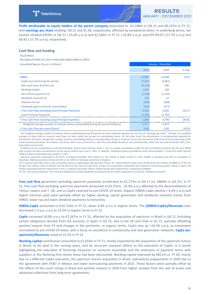

**Profit attributable to equity holders of the parent company** amounted to -€1,198m in Q4 21 and €8,137m in FY 21, with **earnings per share** totalling -€0.22 and €1.38, respectively, affected by exceptional items. In underlying terms, net income totalled €459m in Q4 21 (-55.6% y-o-y) and €2,569m in FY 21 (-16.8% y-o-y), and EPS €0.07 (-57.7% y-o-y) and €0.42 (-15.7% y-o-y), respectively.

#### **Cash flow and funding**

**TELEFÓNICA** 

RECONCILIATIONS OF CASH FLOW AND OIBDA MINUS CAPEX

Unaudited figures (Euros in millions) and the state of the state of the state of the state of the state of the state of the state of the state of the state of the state of the state of the state of the state of the state o

| 2021     | 2020     | $%$ Chg |  |  |  |  |
|----------|----------|---------|--|--|--|--|
| 21,983   | 13,498   | 62.9    |  |  |  |  |
| (7, 267) | (5,861)  |         |  |  |  |  |
| (9, 119) | 906      |         |  |  |  |  |
| 1,010    | 189      |         |  |  |  |  |
| (1,518)  | (1, 192) |         |  |  |  |  |
| 210      | 22       |         |  |  |  |  |
| (459)    | (509)    |         |  |  |  |  |
| (410)    | (471)    |         |  |  |  |  |
| 4,430    | 6,581    | (32.7)  |  |  |  |  |
| (1,782)  | (1,787)  |         |  |  |  |  |
| 2,648    | 4,794    | (44.8)  |  |  |  |  |
| 5,727    | 5,813    |         |  |  |  |  |
| 0.46     | 0.82     | (43.9)  |  |  |  |  |
|          |          |         |  |  |  |  |

The weighted average number of ordinary shares outstanding during the period has been obtained applying the IAS rule 33 "Earnings per share". Thereby, the weighted average of shares held as treasury stock have not been taken into account as outstanding shares. On the other hand, the denominator is retrospectively adjusted for transactions that have changed the number of shares outstanding without a corresponding change in resources (as if such transactions had occurred at the beginning of the earliest period presented). For instance, the bonus share issue carried out to meet the scrip dividends paid in July and December 2020, and June and December 2021, have *been taken into account.*

- Telefónica Group consolidated results deconsolidate Telxius towers division while T. UK is no longer consolidated under the full consolidation method and the new VMO2 *joint* venture has been accounted for by the equity method since June 1, 2021. In addition, Telefónica Group consolidated results deconsolidate T. Costa Rica while Cancom UK&I has been incorporated since August 1, 2021.

*-* Spectrum payments amounted to €1,107m in January-December 2021 (€521m in UK, €343m in Spain, €131m in Chile, €108m in Germany and €4m in Colombia). In *December 2020 amounted to €211m (€114m in UK, €87m in Germany and €11m in Hispam).* 

(1) In January-December 2021 it was associated mainly to capital gains (€6.1bn from Telxius' & T. Deutschland's towers sale, €4.5bn from the creation of VMO2 JV in the UK, €0.3bn from InfraCo Chile & FiBrasil, and €0.1bn from the sale of Costa Rica), €1.5bn of commitments associated with long-term restructuring plans mainly in Spain and €393m associated with the impairment in Peru. In January-December 2020 it related mainly with impairments in Argentina of €894m.

(2) The "net interest payment" line has been redefined to exclude dividends received and present them separately in a new line "dividends received".

**Free cash flow** generation excluding spectrum payments accelerated to €1,273m in Q4 21 (vs. €869m in Q3 21). In FY 21, free cash flow excluding spectrum payments amounted to €3,755m, -25.0% y-o-y affected by the deconsolidation of Telxius' towers and T. UK, and as CapEx reverted to pre-COVID-19 levels. Organic OIBDA-CapEx decline (-4.4% y-o-y) and higher interests paid were partially offset by higher working capital generation and dividends received mainly from VMO2, lower tax and lower dividend payments to minorities.

**OIBDA-CapEx** amounted to €14,716m in FY 21, down 4.4% y-o-y in organic terms. The **(OIBDA-CapEx)/Revenues** ratio decreased 1.3 p.p. y-o-y to 19.2% in organic terms in FY 21.

**CapEx** increased 24.0% y-o-y to €7,267m in FY 21, affected by the acquisition of spectrum in Brazil in Q4 21 (including certain obligations derived from the auction), in Spain in Q3 21, and in the UK and Chile in Q1 21, partially offsetting positive impacts from FX and changes in the perimeter. In organic terms, CapEx was up +10.3% y-o-y, as investment normalised to pre-COVID-19 levels, with a focus on excellence in connectivity and next generation networks. CapEx (exspectrum)/Revenues stood at 14.2% in FY 21.

**Working capital** contribution amounted to €1,010m in FY 21, mostly impacted by the acquisition of the spectrum licence in Brazil, to be paid in the coming years, and by recurrent seasonal effects as the execution of CapEx. It is worth highlighting the execution of factoring measures on accounts receivable and the extension of payment terms with suppliers or the factoring firm where those had been discounted. Working capital improved by €821m vs. FY 20, mainly due to a different CapEx execution, the spectrum licence acquisition in Brazil, operational prepayments in 2020 due to the agreement with AT&T in Mexico and lower restructuring payments in 2021. These factors were partially offset by the effects of the court rulings in Brazil and positive impacts in 2020 from higher receipts from the sale of assets and advanced collections from long-term agreements.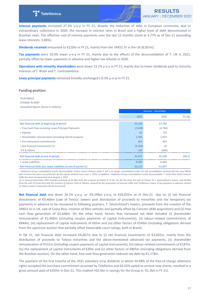

**Interest payments** increased 27.3% y-o-y in FY 21, despite the reduction of debt in European currencies, due to extraordinary collections in 2020, the increase in interest rates in Brazil and a higher level of debt denominated in Brazilian reals. The effective cost of interest payments over the last 12 months stood at 3.77% as of Dec-21 (excluding lease interests: 3.86%).

**Dividends received** amounted to €210m in FY 21, mainly from the VMO2 JV in the UK (€187m).

Tax payments were 10.0% lower y-o-y in FY 21, mainly due to the effects of the deconsolidation of T. UK in 2021, partially offset by lower payments in advance and higher tax refunds in 2020.

**Operations with minority shareholders** were down 13.1% y-o-y in FY 21, mainly due to lower dividends paid to minority interests of T. Brasil and T. Centroamérica.

Lease principal payments remained broadly unchanged (-0.3% y-o-y) in FY 21.

## **Funding position**

TELEFÓNICA **CHANGE IN DEBT** *Unaudited figures (Euros in millions)*

|                                                                |         | January - December |         |
|----------------------------------------------------------------|---------|--------------------|---------|
|                                                                | 2021    | 2020               | $%$ Chg |
| Net financial debt at beginning of period                      | 35,228  | 37,744             |         |
| + Free Cash Flow including Lease Principal Payments            | (2,648) | (4, 794)           |         |
| + Hybrids                                                      | 65      | 723                |         |
| + Shareholder remuneration (including hybrid coupons)          | 1,460   | 1,022              |         |
| + Pre-retirement commitments                                   | 844     | 963                |         |
| + Net financial investments (1)                                | (9,466) | 18                 |         |
| +FX & Others                                                   | 549     | (449)              |         |
| Net financial debt at end of period                            | 26,032  | 35,228             | (26.1)  |
| + Lease Liabilities                                            | 8,080   | 6,469              |         |
| Net Financial Debt plus Lease Liabilities at end of period (1) | 34,112  | 41,697             |         |

*-* Telefónica Group consolidated results deconsolidate Telxius towers division while T. UK is no longer consolidated under the full consolidation method and the new VMO2 *joint* venture has been accounted for by the equity method since June 1, 2021. In addition, Telefónica Group consolidated results deconsolidate T. Costa Rica while Cancom UK&I has been incorporated since August 1, 2021.

(1) In January-December 2021 includes proceeds of €4.9bn from the creation of VMO2 JV in the UK, €4.7bn from the sale of Telxius' & T. Deutschland's towers, and €0.9bn from the sale of Costa Rica and the creation of InfraCo Chile & FiBrasil, reduced by the acquisition of Cancom UK&I and Telefónica's share of tax payment in advance related to Telxius towers transaction (to be recovered).

Net financial debt was down 26.1% y-o-y, or -€9,196m y-o-y, to €26,032m as of Dec-21 due to: (i) net financial divestments of  $\epsilon$ 9,466m (sale of Telxius' towers post distribution of proceeds to minorities and the temporary tax payments in advance to be recovered in following quarters, T. Deutschland's towers, proceeds from the creation of the VMO2 JV in UK, sale of Costa Rica, creation of fibre vehicles and partially offset by Cancom UK&I acquisition) and (ii) free cash flow generation of  $E2,648$ m. On the other hand, factors that increased net debt included (i) shareholder remuneration of  $E1,460$ m (including coupon payments of capital instruments), (ii) labour-related commitments of €844m, (iii) replacement of capital instruments of €65m and (iv) other factors of €549m (including obligations derived from the spectrum auction that partially offset favourable court rulings, both in Brazil).

In Q4 21, net financial debt increased €4,067m due to (i) net financial investments of €3,692m, mainly from the distribution of proceeds to Telxius minorities and the above-mentioned advanced tax payments, (ii) shareholder remuneration of €531m (including coupon payments of capital instruments), (iii) labour-related commitments of €187m, (iv) the replacement of capital instruments of  $\epsilon$ 30m and (v) other factors of  $\epsilon$ 805m (including obligations derived from the Brazilian auction). On the other hand, free cash flow generation reduced net debt by €1,178m.

The payment of the first tranche of the 2021 voluntary scrip dividend, in which 34.98% of the free-of-charge allotment rights accepted the purchase commitment assumed by Telefónica and 65.02% opted to receive new shares, resulted in a gross amount paid of €292m in Dec-21. This implied >€0.5bn in savings for the Group (c. €1.3bn in FY 21).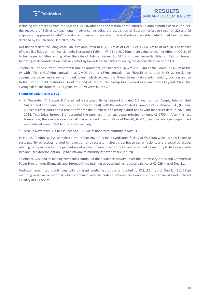

Including net proceeds from the sale of T. El Salvador and the creation of the InfraCo Colombia (both closed in Jan-22), the recovery of Telxius tax payments in advance, including the acquisition of Geprom (effective since Jan-22) and Oi acquisition (approved in Feb-22), and after increasing the stake in Telxius' submarine cable (Feb-22), net financial debt declined by €8.9bn since Dec-20 to €26.3bn.

Net financial debt including lease liabilities amounted to €34,112m as of Dec-21 vs. €41,697m as of Dec-20. The impact of lease liabilities on net financial debt increased €1.6bn in FY 21 to €8,080m, mainly due to the net effect in Q2 21 of higher lease liabilities arising after the sale of Telxius' towers to ATC and lower lease liabilities of Telxius' towers following its deconsolidation, partially offset by lower lease liabilities following the deconsolidation of the UK.

Telefónica, in the current low-interest rate environment, re-financed €6,667m (€2,954m at the Group, €1,650m at the JV with Allianz, €1,976m equivalent at VMO2 JV and €87m equivalent at FiBrasil) of its debt in FY 21 (excluding commercial paper and short-term bank loans), which allowed the Group to maintain a solid liquidity position and to further extend debt maturities. As of the end of Dec-21, the Group has covered debt maturities beyond 2024. The average debt life stood at 13.63 years, vs. 10.79 years in Dec-20.

## **Financing activities in Q4 21**

- In November, T. Europe, B.V launched a sustainability issuance of Undated 6.5 year non call Deeply Subordinated Guaranteed Fixed Rate Reset Securities (hybrid bond), with the subordinated guarantee of Telefónica, S.A., (€750m, 6.5 years reset date) and a tender offer for the purchase of existing hybrid bonds with first reset date in 2023 and 2024. Telefónica Europe, B.V. accepted the purchase in an aggregate principal amount of €750m. After this last transaction, the average years to call was extended, from 3.75 as of Dec-20, to 4.16, and the average coupon paid was reduced from 3.74% to 3.56%, respectively.
- Also, in November, T. Chile launched a USD 500m bond with maturity in Nov-31.

In Jan-22, Telefónica, S.A. completed the refinancing of its main syndicated facility of €5,500m which is now linked to sustainability objectives related to reduction of direct and indirect greenhouse gas emissions; and a social objective, relating to the increase in the percentage of women in executive positions; and extended its maturity to five years, with two annual extension option, up to a maximum maturity of seven years (Jan-29).

Telefónica, S.A. and its holding companies continued their issuance activity under the Promissory Notes and Commercial Paper Programmes (Domestic and European), maintaining an outstanding notional balance of €1,029m as of Dec-21.

Undrawn committed credit lines with different credit institutions amounted to €12,182m as of Dec-21 (€11,791m maturing over twelve months), which combined with the cash equivalents position and current financial assets, placed liquidity at €24,586m.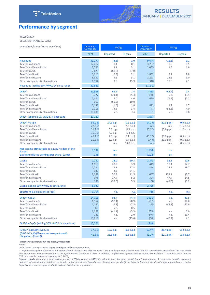

# <span id="page-18-0"></span>**Performance by segment**

#### TELEFÓNICA

SELECTED FINANCIAL DATA

| Unaudited figures (Euros in millions)                                                                                                                                                             | January -<br><b>December</b>                                          | % Chg                                                                     |                                                                                           | October -<br><b>December</b>                                | % Chg                                                                        |                                                                                  |
|---------------------------------------------------------------------------------------------------------------------------------------------------------------------------------------------------|-----------------------------------------------------------------------|---------------------------------------------------------------------------|-------------------------------------------------------------------------------------------|-------------------------------------------------------------|------------------------------------------------------------------------------|----------------------------------------------------------------------------------|
|                                                                                                                                                                                                   | 2021                                                                  | Reported                                                                  | Organic                                                                                   | 2021                                                        | Reported                                                                     | Organic                                                                          |
| <b>Revenues</b><br>Telefónica España<br>Telefónica Deutschland<br>Telefónica UK<br>Telefónica Brasil<br>Telefónica Hispam<br>Other companies & eliminations                                       | 39,277<br>12,417<br>7,765<br>2,628<br>6,910<br>8,362<br>1,194         | (8.8)<br>0.1<br>3.1<br>(60.8)<br>(6.9)<br>5.5<br>9.5                      | 2.0<br>0.1<br>3.1<br>(7.0)<br>2.1<br>5.1<br>15.9                                          | 9,674<br>3,207<br>2,055<br>1,802<br>2,293<br>318            | (11.3)<br>0.5<br>1.6<br>3.1<br>18.5<br>17.6                                  | 3.1<br>0.5<br>1.6<br>2.8<br>6.0<br>2.1                                           |
| Revenues (adding 50% VMO2 JV since June)                                                                                                                                                          | 42,839                                                                |                                                                           |                                                                                           | 11,242                                                      |                                                                              |                                                                                  |
| <b>OIBDA</b><br>Telefónica España<br>Telefónica Deutschland<br>Telefónica UK<br>Telefónica Brasil<br>Telefónica Hispam<br>Other companies & eliminations<br>OIBDA (adding 50% VMO2 JV since June) | 21,983<br>3,377<br>2,424<br>919<br>3,138<br>1,718<br>10,406<br>23,222 | 62.9<br>(33.1)<br>5.0<br>(55.5)<br>(1.6)<br>73.5<br>C.S.                  | 1.4<br>(5.3)<br>4.0<br>10.0<br>1.8<br>3.4<br>C.S.                                         | 1,363<br>(158)<br>629<br>812<br>77<br>$\mathbf{1}$<br>1,887 | (63.7)<br>C.S.<br>(1.2)<br>—<br>1.2<br>(83.6)<br>C.S.                        | 0.4<br>(3.4)<br>(2.2)<br>1.7<br>4.0<br>0.8                                       |
| <b>OIBDA</b> margin<br>Telefónica España<br>Telefónica Deutschland<br>Telefónica UK<br><b>Telefónica Brasil</b><br>Telefónica Hispam<br>Other companies & eliminations                            | 56.0%<br>27.2 %<br>31.2 %<br>35.0 %<br>45.4 %<br>20.5 %<br>n.s.       | 24.6 p.p.<br>n.s.<br>0.6 p.p.<br>4.2 p.p.<br>2.5 p.p.<br>8.0 p.p.<br>n.s. | (0.2 p.p.)<br>(2.2 p.p.)<br>0.3 p.p.<br>5.4 p.p.<br>(0.1 p.p.)<br>(0.4 p.p.)<br>13.8 p.p. | 14.1 %<br>n.s.<br>30.6 %<br>45.1 %<br>3.4%<br>n.s.          | (20.3 p.p.)<br>n.s.<br>(0.8 p.p.)<br>(0.8 p.p.)<br>(21.0 p.p.)<br>n.s.       | (0.9 p.p.)<br>(1.6 p.p.)<br>(1.2 p.p.)<br>(0.5 p.p.)<br>(0.5 p.p.)<br>(0.6 p.p.) |
| Net income attributable to equity holders of the<br>Parent<br>Basic and diluted earnings per share (Euros)                                                                                        | 8,137<br>1.38                                                         | n.s.<br>n.s.                                                              |                                                                                           | (1, 198)<br>(0.22)                                          | C.S.<br>C.S.                                                                 |                                                                                  |
| <b>CapEx</b><br>Telefónica España<br>Telefónica Deutschland<br>Telefónica UK<br>Telefónica Brasil<br>Telefónica Hispam<br>Other companies & eliminations<br>CapEx (adding 50% VMO2 JV since June) | 7,267<br>1,815<br>1,284<br>933<br>2,069<br>978<br>188<br>8,021        | 24.0<br>28.9<br>17.3<br>2.2<br>50.8<br>17.4<br>(22.0)                     | 10.3<br>3.9<br>17.3<br>24.1<br>11.5<br>5.2<br>5.3                                         | 2,373<br>449<br>474<br>1,067<br>324<br>60<br>2,735          | 32.3<br>17.1<br>28.7<br>$\overline{\phantom{0}}$<br>154.1<br>47.4<br>(41.0)  | 12.6<br>12.7<br>28.7<br>(3.7)<br>24.5<br>(3.2)                                   |
| Spectrum & obligations (Brazil)                                                                                                                                                                   | 1,704                                                                 | n.s.                                                                      | n.s.                                                                                      | 715                                                         | n.s.                                                                         | n.s.                                                                             |
| OIBDA-CapEx<br>Telefónica España<br>Telefónica Deutschland<br>Telefónica UK<br>Telefónica Brasil<br>Telefónica Hispam<br>Other companies & eliminations                                           | 14,716<br>1,562<br>1,140<br>(14)<br>1,069<br>740<br>10,219            | 92.7<br>(57.1)<br>(6.1)<br>C.S.<br>(41.1)<br>n.s.<br>C.S.                 | (4.4)<br>(8.9)<br>(7.5)<br>0.5<br>(5.3)<br>2.0<br>(45.6)                                  | (1,011)<br>(607)<br>155<br>(255)<br>(246)<br>(58)           | C.S.<br>C.S.<br>(42.1)<br>$\overline{\phantom{0}}$<br>C.S.<br>C.S.<br>(45.2) | (9.5)<br>(10.0)<br>(42.9)<br>6.6<br>(13.4)<br>4.1                                |
| OIBDA - CapEx (adding 50% VMO2 JV since June)                                                                                                                                                     | 15,201                                                                |                                                                           |                                                                                           | (848)                                                       |                                                                              |                                                                                  |
| (OIBDA-CapEx)/Revenues<br>(OIBDA-CapEx)/Revenues (ex-spectrum &<br>obligations (Brazil))                                                                                                          | 37.5 %<br>41.8 %                                                      | 19.7 p.p.<br>23.8 p.p.                                                    | (1.3 p.p.)<br>(1.3 p.p.)                                                                  | (10.4%)<br>(3.1%)                                           | (28.4 p.p.)<br>(22.1 p.p.)                                                   | (2.3 p.p.)<br>(2.3 p.p.)                                                         |

*- Reconciliation included in the excel spreadsheets*

*Notes:*

- OIBDA and OI are presented before brand fees and management fees.

- Telefónica Group consolidated results deconsolidate Telxius towers division while T. UK is no longer consolidated under the full consolidation method and the new VMO2 joint venture has been accounted for by the equity method since June 1, 2021. In addition, Telefónica Group consolidated results deconsolidate T. Costa Rica while Cancom UK&I has been incorporated since August 1, 2021.

Organic criteria: Assumes constant exchange rates of 2020 (average in 2020). Excludes the contribution to growth from T. Argentina and T. Venezuela. Considers constant perimeter of consolidation and does not include capital gains/losses from the sale of companies, for significant impacts. Does not include write-offs, material non-recurring *impacts and restructuring costs. CapEx excludes investments in spectrum.*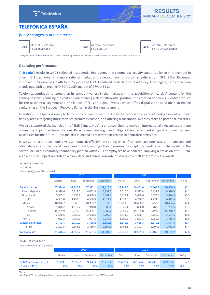



# <span id="page-19-0"></span>**TELEFÓNICA ESPAÑA**

# (y-o-y changes in organic terms)

**29%** of total Telefónica

**34%** of total Telefónica

of total Telefónica<br>
FY 21 OIBDA CapEx **ACCOUNT ACCOUNT ACCOUNT ACCOUNT ACCOUNT ACCOUNT ACCOUNT ACCOUNT ACCOUNT ACCOUNT** ACCOUNT ACTO

Weights calculated with revenues, OIBDA underlying and CapEx (ex spectrum) with 50% of the VMO2 JV since June 2021

# **Operating performance**

**T. España'**s results in Q4 21 reflected a sequential improvement in commercial activity supported by an improvement in churn (-0.3 p.p. y-o-y) in a more rational market and a record level of customer satisfaction (NPS: 36%). Revenues improved their pace of growth to 0.5% y-o-y and OIBDA reduced its decline to -3.4% y-o-y. Once again, cash conversion stands out, with an organic OIBDA-CapEx margin of 27% in FY 21.

Telefónica continued to strengthen its competitiveness in the market with the acquisition of "La Liga" content for the coming seasons, reducing the cost and maintaining a clear differential position; the creation of a new O2 entry product, for the Residential segment and, the launch of "Fusión Digital Pymes", which offers digitalisation solutions that enable capitalising on the European Recovery Funds, in the Business segment.

In addition, T. España is ready to launch (in conjunction with T. Infra) the process to create a FibreCo focused on lower density areas, targeting more than 5m premisses passed, and offering a substantial minority stake to potential investors.

We also supported the launch of the "SME Climate Hub", a one-stop-shop to make an internationally recognised climate commitment, join the United Nations' Race to Zero campaign, and mitigate the environmental impact and build resilient businesses for the future. T. España also launched a reforestation project to neutralise emissions.

In Q4 21, a tariff repositioning was announced, effective in Feb-22, which facilitates customer access to handsets and other devices and the Social Employment Pact, among other measures to adapt the workforce to the needs of the sector, included a voluntary redundancy plan to which 2,317 employees have adhered, implying a provision of €1,382m, with a positive impact on cash flow from 2022 and annual run-rate of savings of c.€200m from 2023 onwards.

# TELEFÓNICA ESPAÑA **ACCESSES**

*Unaudited figures (Thousands)*

|                           |          |          | 2020      |          |          |          |           |          |        |
|---------------------------|----------|----------|-----------|----------|----------|----------|-----------|----------|--------|
|                           | March    | June     | September | December | March    | June     | September | December | % Chg  |
| <b>Retail Accesses</b>    | 37,874.0 | 37,936.9 | 37,922.1  | 37,615.1 | 37,143.5 | 36,881.0 | 36,809.2  | 36,460.9 | (3.1)  |
| Fixed telephony           | 8,918.6  | 8,917.6  | 8,882.5   | 8,731.0  | 8,616.6  | 8,523.4  | 8,437.9   | 8,376.3  | (4.1)  |
| <b>Broadband</b>          | 5,985.2  | 5,993.4  | 6,030.3   | 5,961.9  | 5,911.1  | 5,888.6  | 5,873.6   | 5,874.9  | (1.5)  |
| <b>FTTH</b>               | 4,393.0  | 4,452.0  | 4,556.9   | 4,614.1  | 4,671.0  | 4,726.7  | 4,774.5   | 4,847.6  | 5.1    |
| Mobile                    | 18,926.7 | 18,960.3 | 18,993.7  | 18,977.8 | 18,711.0 | 18,658.2 | 18,732.9  | 18,484.6 | (2.6)  |
| Prepay                    | 1.070.2  | 1,012.7  | 940.0     | 888.1    | 840.1    | 806.0    | 783.6     | 752.5    | (15.3) |
| Contract                  | 15,209.9 | 15,279.8 | 15,365.1  | 15,383.7 | 15,259.7 | 15,185.8 | 15,194.8  | 15,210.7 | (1.1)  |
| <b>IoT</b>                | 2,646.6  | 2,667.7  | 2,688.6   | 2,706.0  | 2,611.2  | 2,666.4  | 2,754.5   | 2,521.5  | (6.8)  |
| Pay TV                    | 4,032.3  | 4,054.3  | 4,004.3   | 3,934.5  | 3,895.3  | 3,801.3  | 3,755.5   | 3,716.4  | (5.5)  |
| <b>Wholesale Accesses</b> | 3,772.4  | 3,719.9  | 3,709.2   | 3,689.5  | 3,676.8  | 3,658.3  | 3,679.1   | 3,674.3  | (0.4)  |
| <b>FTTH</b>               | 2,292.5  | 2,361.3  | 2,489.6   | 2,599.8  | 2,708.1  | 2,801.7  | 2,907.1   | 2,982.0  | 14.7   |
| <b>Total Accesses</b>     | 41.646.4 | 41,656.7 | 41.631.4  | 41.304.6 | 40.820.3 | 40,539.3 | 40.488.3  | 40.135.2 | (2.8)  |

#### OWN UBB COVERAGE

*Unaudited figures (thousands)*

|                                                     |                 | 2020            |                 |                 |                 |                 |                 |                 |                   |
|-----------------------------------------------------|-----------------|-----------------|-----------------|-----------------|-----------------|-----------------|-----------------|-----------------|-------------------|
|                                                     | March           | June            | September       | December        | March           | June            | September       | December        | $%$ Chg           |
| <b>UBB Premises passed (FTTH)</b><br>Up-take (FTTH) | 23,421.8<br>29% | 23,650.1<br>29% | 24.445.4<br>29% | 25,219.4<br>29% | 25,651.3<br>29% | 26.134.6<br>29% | 26.520.1<br>29% | 26,903.3<br>29% | 6.7<br>$0.5$ p.p. |

#### *Notes*

- Up-Take FTTH includes retail accesses and wholesale accesses connected to the FTTH network.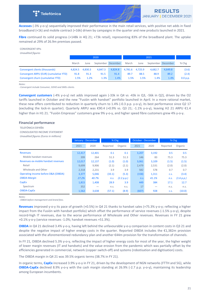

Accesses (-3% y-o-y) sequentially improved their performance in the main retail services, with positive net adds in fixed broadband  $(+1k)$  and mobile contract  $(+16k)$  driven by campaigns in the quarter and new products launched in 2021.

**Fibre** continued its solid progress (+148k in 4Q 21; +73k retail), representing 83% of the broadband plant. The uptake remained at 29% of 26.9m premises passed.

## CONVERGENT KPIS

*Unaudited figures*

|                                        |                 | 2020 |                    |         | 2021            |      |                    |         |          |
|----------------------------------------|-----------------|------|--------------------|---------|-----------------|------|--------------------|---------|----------|
|                                        | March           | June | September December |         | March           | June | September December |         | $%$ Chg  |
| Convergent clients (thousands)         | 4,824.5 4,830.3 |      | 4.847.3            | 4.824.8 | 4,781.6 4,725.9 |      | 4.682.7            | 4.649.8 | (3.6)    |
| Convergent ARPU (EUR) (cumulative YTD) | 91.8            | 91.3 | 91.5               | 91.4    | 89.7            | 88.5 | 88.9               | 89.2    | (2.4)    |
| Convergent churn (cumulative YTD)      | 1.5%            | 1.2% | 1.3%               | 1.4%    | 1.5%            | 1.5% | 1.4%               | 1.4%    | 0.0 p.p. |

*Notes:*

*- Convergent include Consumer, SOHO and SMEs clients.*

**Convergent customers** (-4% y-o-y) net adds improved again (-33k in Q4 vs -43k in Q3, -56k in Q2), driven by the O2 tariffs launched in October and the new "Fusión with handset" portfolio launched in April. In a more rational market, these new offers contributed to reduction in quarterly churn to  $1.4\%$  (-0.3 p.p. y-o-y), its best performance since Q2 17 (excluding the lock-in quarter). Quarterly ARPU was €90.4 (+0.9% vs. Q3 21; -1.1% y-o-y), leaving H2 21 ARPU €1.4 higher than in H1 21. "Fusión Empresas" customers grew 9% y-o-y, and higher speed fibre customers grew 4% y-o-y.

#### **Financial performance**

TELEFÓNICA ESPAÑA

CONSOLIDATED INCOME STATEMENT *Unaudited figures (Euros in millions)*

|                                     | January - December |        | % Chg    |            | October - December |       | % Chg    |            |
|-------------------------------------|--------------------|--------|----------|------------|--------------------|-------|----------|------------|
|                                     | 2021               | 2020   | Reported | Organic    | 2021               | 2020  | Reported | Organic    |
| <b>Revenues</b>                     | 12,417             | 12,401 | 0.1      | 0.1        | 3,207              | 3,192 | 0.5      | 0.5        |
| Mobile handset revenues             | 399                | 264    | 51.3     | 51.3       | 146                | 83    | 75.3     | 75.3       |
| Revenues ex-mobile handset revenues | 12,017             | 12,137 | (1.0)    | (1.0)      | 3,061              | 3,109 | (1.5)    | (1.5)      |
| Retail                              | 9,699              | 9,906  | (2.1)    | (2.1)      | 2,479              | 2,531 | (2.0)    | (2.0)      |
| Wholesale and Other                 | 2,318              | 2,231  | 3.9      | 3.9        | 582                | 578   | 0.7      | 0.7        |
| Operating income before D&A (OIBDA) | 3,377              | 5,046  | (33.1)   | (5.3)      | (158)              | 1,311 | C.S.     | (3.4)      |
| <b>OIBDA Margin</b>                 | 27.2%              | 40.7%  | n.s.     | (2.2 p.p.) | n.S.               | 41.1% | n.s.     | (1.6 p.p.) |
| <b>CapEx</b>                        | 1,815              | 1,408  | 28.9     | 3.9        | 449                | 384   | 17.1     | 12.7       |
| Spectrum                            | 352                |        | n.s.     | n.s.       | 17                 |       | n.S.     | n.S.       |
| OIBDA-CapEx                         | 1,562              | 3,638  | (57.1)   | (8.9)      | (607)              | 928   | C.S.     | (10.0)     |

*Notes:*

*- OIBDA before management and brand fees.*

Revenues improved y-o-y its pace of growth (+0.5%) in Q4 21 thanks to handset sales (+75.3% y-o-y; reflecting a higher impact from the Fusión with handset portfolio) which offset the performance of service revenues (-1.5% y-o-y), despite record-high IT revenues, due to the worse performance of Wholesale and Other revenues. Revenues in FY 21 grew +0.1% y-o-y (service revenues -1.0%; handset revenues +51.3%).

**OIBDA** in Q4 21 declined 3.4% y-o-y, having left behind the unfavourable y-o-y comparison in content costs in Q3 21 and despite the negative impact of higher energy costs in the quarter. Reported OIBDA includes the  $£1,382m$  provision associated with the aforementioned redundancy plan and another €44m provision for the transformation of channels.

In FY 21, OIBDA declined 5.3% y-o-y, reflecting the impact of higher energy costs for most of the year, the higher weight of lower margin revenues (IT and handsets) and the value erosion from the pandemic which was partially offset by the efficiencies generated in commercial, network (copper switch-off) and systems (robotisation and digitisation) costs.

The OIBDA margin in Q4 21 was 39.5% organic terms (38.7% in FY 21).

In organic terms, **CapEx** increased 3.9% y-o-y in FY 21, driven by the development of NGN networks (FTTH and 5G), while **OIBDA-CapEx** declined 8.9% y-o-y with the cash margin standing at 26.9% (-2.7 p.p. y-o-y), maintaining its leadership among European incumbents.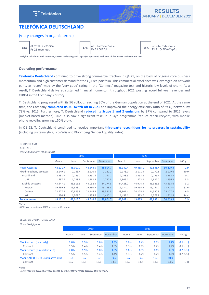



# <span id="page-21-0"></span>**TELEFÓNICA DEUTSCHLAND**

# (y-o-y changes in organic terms)

**18%** of total Telefónica

 $17\%$  of total Telefónica

of total Telefónica<br>
FY 21 OIBDA<br>
FY 21 OIBDA-CapEx

Weights calculated with revenues, OIBDA underlying and CapEx (ex spectrum) with 50% of the VMO2 JV since June 2021

# **Operating performance**

**Telefónica Deutschland** continued to drive strong commercial traction in Q4 21, on the back of ongoing core business momentum and high customer demand for the  $O_2$  Free portfolio. This commercial excellence was leveraged on network parity as reconfirmed by the 'very good' rating in the "Connect" magazine test and historic low levels of churn. As a result, T. Deutschland delivered sustained financial momentum throughout 2021, posting record full year revenues and OIBDA in the Company's history.

T. Deutschland progressed with its 5G rollout, reaching 30% of the German population at the end of 2021. At the same time, the Company completed its 3G switch-off in 2021 and improved the energy efficiency ratio of its O<sub>2</sub> network by 78% vs. 2015. Furthermore, T. Deutschland *reduced its Scope 1 and 2 emissions* by 97% compared to 2015 levels (market-based method). 2021 also saw a significant take-up in  $O_2$ 's programme 'reduce-repair-recycle', with mobile phone recycling growing c.50% y-o-y.

In Q1 22, T. Deutschland continued to receive important **third-party recognitions for its progress in sustainability** (including Sustainalytics, EcoVadis and Bloomberg Gender Equality Index).

## DEUTSCHLAND **ACCESSES** *Unaudited figures (Thousands)* 2020 2021 March June September December March June September December % Chg Retail Accesses 48,121.7 48,017.7 48,544.9 48,804.7 48,942.4 49,485.1 49,838.4 50,219.3 2.9 Fixed telephony accesses 2,149.1 2,163.4 2,170.9 2,180.2 2,173.0 2,171.5 2,172.8 2,179.6 (0.0) Broadband 2,231.7 2,245.2 2,251.6 2,261.1 2,253.9 2,253.2 2,255.4 2,262.3 0.1 UBB 1,687.7 1,728.8 1,762.3 1,797.8 1,809.1 1,823.2 1,837.7 1,856.8 3.3 Mobile accesses 43,647.1 43,516.5 44,032.4 44,274.8 44,428.2 44,974.5 45,325.3 45,693.6 3.2 Prepay 19,689.4 19,323.0 19,530.7 19,283.3 19,174.7 19,265.5 19,161.2 18,973.0 (1.6) Contract 22,727.2 22,885.3 23,146.3 23,581.3 23,801.4 24,175.3 24,590.3 25,107.8 6.5 IoT 1,230.4 1,308.2 1,355.4 1,410.1 1,452.1 1,533.7 1,573.8 1,612.8 14.4 Total Accesses 48,121.7 48,017.7 48,544.9 48,804.7 48,942.4 49,485.1 49,838.4 50,219.3 2.9

*Notes:*

TELEFÓNICA 

*- UBB accesses refers to VDSL accesses in Germany.*

#### SELECTED OPERATIONAL DATA

*Unaudited figures*

|                                    |       |      | 2020      |          |       |      |           |          |            |
|------------------------------------|-------|------|-----------|----------|-------|------|-----------|----------|------------|
|                                    | March | June | September | December | March | June | September | December | % Chg      |
| Mobile churn (quarterly)           | 2.0%  | 1.9% | 1.6%      | 1.8%     | 1.6%  | 1.4% | 1.7%      | 1.7%     | (0.1 p.p.) |
| Contract                           | 1.5%  | 1.4% | 1.4%      | 1.3%     | 1.3%  | 1.0% | 1.2%      | 1.2%     | (0.1 p.p.) |
| Mobile churn (cumulative YTD)      | 2.0%  | 1.9% | 1.8%      | 1.8%     | 1.6%  | 1.5% | 1.6%      | 1.6%     | (0.2 p.p.) |
| Contract                           | 1.5%  | 1.5% | 1.4%      | 1.4%     | 1.3%  | 1.2% | 1.2%      | 1.2%     | (0.2 p.p.) |
| Mobile ARPU (EUR) (cumulative YTD) | 9.8   | 9.7  | 9.9       | 9.9      | 9.7   | 9.9  | 10.0      | 10.0     | 1.1        |
| Contract                           | 13.7  | 13.5 | 13.6      | 13.6     | 13.2  | 13.4 | 13.5      | 13.5     | (1.3)      |

*Notes:*

- ARPU: monthly average revenue divided by the monthly average accesses of the period..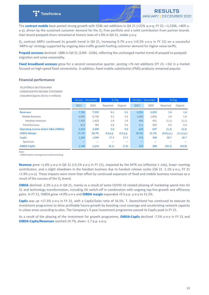

The **contract mobile** base posted strong growth with 518k net additions in Q4 21 (+22% q-o-q; FY 21: +1,526k, +46% yo-y), driven by the sustained customer demand for the  $O_2$  Free portfolio and a solid contribution from partner brands. Own brand postpaid churn remained at historic lows of 1.0% in Q4 21, stable y-o-y.

 $O_2$  contract ARPU continued its growth trend in Q4 21, increasing 0.7% y-o-y (+0.2% y-o-y in FY 21) on a successful 'ARPU-up' strategy supported by ongoing data traffic growth fuelling customer demand for higher value tariffs.

**Prepaid accesses** declined -188k in Q4 21 (12M: -310k), reflecting the unchanged market trend of prepaid to postpaid migration and some seasonality.

**Fixed broadband accesses** grew for a second consecutive quarter, posting +7k net additions (FY 21: +1k) in a market focused on high-speed fixed connectivity. In addition, fixed-mobile substitution (FMS) products remained popular.

#### **Financial performance**

TELEFÓNICA DEUTSCHLAND CONSOLIDATED INCOME STATEMENT *Unaudited figures (Euros in millions)*

|                                     | January - December |       | % Chg    |          | October - December |       | % Chg      |            |
|-------------------------------------|--------------------|-------|----------|----------|--------------------|-------|------------|------------|
|                                     | 2021               | 2020  | Reported | Organic  | 2021               | 2020  | Reported   | Organic    |
| <b>Revenues</b>                     | 7,765              | 7,532 | 3.1      | 3.1      | 2,055              | 2,023 | 1.6        | 1.6        |
| <b>Mobile Business</b>              | 6,942              | 6,730 | 3.2      | 3.2      | 1,840              | 1,810 | 1.6        | 1.6        |
| Handset revenues                    | 1,450              | 1,423 | 1.9      | 1.9      | 446                | 451   | (1.1)      | (1.1)      |
| <b>Fixed Business</b>               | 814                | 785   | 3.6      | 3.6      | 211                | 202   | 4.4        | 4.4        |
| Operating income before D&A (OIBDA) | 2,424              | 2,309 | 5.0      | 4.0      | 629                | 637   | (1.2)      | (2.2)      |
| <b>OIBDA Margin</b>                 | 31.2%              | 30.7% | 0.6 p.p. | 0.3 p.p. | 30.6%              | 31.5% | (0.8 p.p.) | (1.2 p.p.) |
| CapEx                               | 1,284              | 1,094 | 17.3     | 17.3     | 474                | 368   | 28.7       | 28.7       |
| Spectrum                            |                    |       |          |          |                    |       |            |            |
| OIBDA-CapEx                         | 1,140              | 1,214 | (6.1)    | (7.5)    | 155                | 268   | (42.1)     | (42.9)     |

*Note:*

*- OIBDA before management and brand fees.*

**Revenue** grew +1.6% y-o-y in Q4 21 (+3.1% y-o-y in FY 21), impacted by the MTR cut (effective 1 July), lower roaming contribution, and a slight slowdown in the handset business due to handset release cycles (Q4 21 -1.1% y-o-y, FY 21 +1.9% y-o-y). These impacts were more than offset by continued expansion of fixed and mobile business revenues as a result of the success of the  $O_2$  brand.

**OIBDA** declined -2.2% y-o-y in Q4 21, mainly as a result of some COVID-19 related phasing of marketing spend into H2 21 and technology transformation, including 3G switch-off in combination with ongoing top-line growth and efficiency gains. In FY 21, OIBDA grew +4.0% y-o-y and **OIBDA margin** expanded +0.3 p.p. y-o-y to 31.2%.

**CapEx** was up +17.3% y-o-y in FY 21, with a CapEx/Sales ratio of 16.5%. T. Deutschland has continued to execute its investment programme to drive profitable future growth by boosting rural coverage and accelerating network capacity in urban areas according to plan. The Company's 3-year investment programme passed its CapEx peak in FY 21.

As a result of the phasing of the investment for growth programme, **OIBDA-CapEx** declined -7.5% y-o-y in FY 21 and **OIBDA-CapEx/Revenues** reached 14.7%, down -1.7 p.p. y-o-y.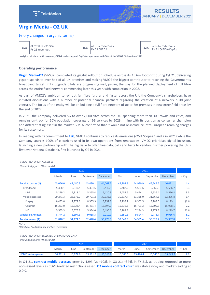



# <span id="page-23-0"></span>**Virgin Media - O2 UK**

# (y-o-y changes in organic terms)

**15%** of total Telefónica

15% of total Telefónica

of total Telefónica<br>
FY 21 OIBDA<br>
FY 21 OIBDA-CapEx

Weights calculated with revenues, OIBDA underlying and CapEx (ex spectrum) with 50% of the VMO2 JV since June 2021

# **Operating performance**

**Virgin Media-O2** (VMO2) completed its gigabit rollout on schedule across its 15.6m footprint during Q4 21, delivering gigabit speeds to over half of all UK premises and making VMO2 the biggest contributor to reaching the Government's broadband target. FTTP upgrade pilots are progressing well, paving the way for the planned deployment of full fibre across the entire fixed network commencing later this year, with completion in 2028.

As part of VMO2's ambition to roll out full fibre further and faster across the UK, the Company's shareholders have initiated discussions with a number of potential financial partners regarding the creation of a network build joint venture. The focus of the entity will be on building a full fibre network of up to 7m premises in new greenfield areas by the end of 2027.

In 2021, the Company delivered 5G to over 2,000 sites across the UK, spanning more than 300 towns and cities, and remains on-track for 50% population coverage of 5G services by 2023. In line with its position as consumer champion and differentiating itself in the market, VMO2 confirmed that it would not re-introduce intra-European roaming charges for its customers.

In keeping with its commitment to **ESG**, VMO2 continues to reduce its emissions (-25% Scopes 1 and 2 in 2021) while the Company sources 100% of electricity used in its own operations from renewables. VMO2 prioritises digital inclusion, launching a new partnership with The Big Issue to offer free data, calls and texts to vendors, further powering the UK's first ever National Databank, first launched by O2 in 2021.

| <u>Undulted numes</u> influences |          |          |           |          |          |          |           |                 |       |  |
|----------------------------------|----------|----------|-----------|----------|----------|----------|-----------|-----------------|-------|--|
|                                  |          |          | 2020      |          |          |          | 2021      |                 |       |  |
|                                  | March    | June     | September | December | March    | June     | September | <b>December</b> | % Chg |  |
| <b>Retail Accesses (1)</b>       | 43,066.0 | 42,480.3 | 43,430.1  | 44,067.7 | 44,292.8 | 44,990.9 | 45,549.5  | 46,021.1        | 4.4   |  |
| <b>Broadband</b>                 | 5,308.1  | 5,347.4  | 5,394.5   | 5,449.5  | 5,487.9  | 5,523.6  | 5,566.0   | 5,626.7         | 3.3   |  |
| <b>UBB</b>                       | 5,279.2  | 5,318.4  | 5,365.4   | 5,420.3  | 5,458.6  | 5,494.1  | 5,536.4   | 5,596.8         | 3.3   |  |
| Mobile accesses                  | 29,241.3 | 28,672.0 | 29,701.2  | 30,336.6 | 30,617.7 | 31,358.0 | 31,864.6  | 32,276.8        | 6.4   |  |
| Prepay                           | 8,433.0  | 7,772.8  | 8,335.9   | 8,251.8  | 8,199.1  | 8,362.5  | 8,284.0   | 8,119.1         | (1.6) |  |
| Contract                         | 15,253.0 | 15,323.4 | 15,431.4  | 15,594.2 | 15,636.3 | 15,701.2 | 15,809.3  | 15,938.1        | 2.2   |  |
| <b>IoT</b>                       | 5,555.3  | 5,575.8  | 5,934.0   | 6,490.6  | 6,782.3  | 7,294.3  | 7,771.3   | 8,219.7         | 26.6  |  |
| <b>Wholesale Accesses</b>        | 8,774.2  | 8,694.3  | 9,018.3   | 9,210.9  | 9,350.5  | 9,594.4  | 9,773.7   | 9,966.6         | 8.2   |  |
| <b>Total Accesses (1)</b>        | 51,840.2 | 51,174.6 | 52,448.4  | 53,278.6 | 53,643.3 | 54,585.4 | 55,323.2  | 55,987.8        | 5.1   |  |

# VMO2 PROFORMA ACCESSES

*Unaudited figures (Thousands)*

*Notes:* 

*(1) Includes fixed telephony and Pay TV accesses.*

# VMO2 PROFORMA SELECTED OPERATIONAL DATA

*Unaudited figures (Thousands)*

|                            |          |          | 2020               |          |          |          |          |                    |       |
|----------------------------|----------|----------|--------------------|----------|----------|----------|----------|--------------------|-------|
|                            | March    | June     | September December |          | March    | June     |          | September December | % Chg |
| <b>UBB Premises passed</b> | 14,981.5 | 15.072.6 | 15.191.7           | 15,310.8 | 15,386.6 | 15,476.4 | 15,546.3 | 15,649.9           |       |

In Q4 21, **contract mobile accesses** grew by 129k (vs +108k in Q3 21; +344k in FY 21), as trading returned to more normalised levels as COVID-related restrictions eased. **O2 mobile contract churn** was stable y-o-y and market-leading at 0.9%.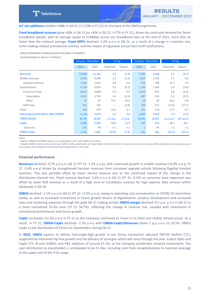

**IoT net additions** totalled +448k in Q4 21 (+1,729k in FY 21) on the back of the SMIP programme.

**Fixed broadband accesses** grew +60k in Q4 21 (vs +42k in Q3 21; +177k in FY 21), driven by continued demand for faster broadband speeds, with an average speed of 214Mbps across our broadband base at the end of 2021, more than 4x faster than the national average. Fixed ARPU declined -3.0% y-o-y in Q4 21, as a result of a change in customer mix, some trading-related promotional activity, and the impact of regulated annual best tariff notifications.

VMO2 PROFORMA CONSOLIDATED INCOME STATEMENT

*Unaudited figures (Euros in millions)*

|                                     | January - December |        | % Chg             |          | <b>October - December</b> |       | % Chg      |            |
|-------------------------------------|--------------------|--------|-------------------|----------|---------------------------|-------|------------|------------|
|                                     | 2021               | 2020   | Reported          | Organic  | 2021                      | 2020  | Reported   | Organic    |
| <b>Revenues</b>                     | 12,046             | 11,781 | 2.3               | (1.2)    | 3,196                     | 3,028 | 5.5        | (0.7)      |
| Mobile revenues                     | 6,762              | 6,698  | 1.0               | (2.4)    | 1,862                     | 1,738 | 7.1        | 0.8        |
| Handset revenues                    | 1,895              | 1,823  | 4.0               | 0.6      | 620                       | 548   | 13.1       | 7.0        |
| <b>Fixed Business</b>               | 4,754              | 4,603  | 3.3               | (0.3)    | 1,194                     | 1,166 | 2.4        | (3.6)      |
| <b>Consumer Fixed</b>               | 4,012              | 3,860  | 3.9               | 0.4      | 1,010                     | 955   | 5.8        | (0.5)      |
| Subscription                        | 3,921              | 3,793  | 3.4               | (0.2)    | 987                       | 935   | 5.5        | (0.7)      |
| Other                               | 91                 | 67     | 35.3              | 30.9     | 23                        | 20    | 16.6       | 9.8        |
| <b>B2B Fixed</b>                    | 742                | 742    | $\qquad \qquad -$ | (3.8)    | 184                       | 212   | (13.0)     | (17.7)     |
| Other                               | 529                | 479    | 10.4              | 6.7      | 141                       | 124   | 12.9       | 6.1        |
| Operating income before D&A (OIBDA) | 4,178              | 4,074  | 2.6               | 2.0      | 1,037                     | 1,018 | 1.8        | (1.1)      |
| <b>OIBDA Margin</b>                 | 34.7%              | 34.6%  | 0.1 p.p.          | 1.1 p.p. | 32.4%                     | 33.6% | (1.2 p.p.) | (0.1 p.p.) |
| CapEx                               | 2,908              | 2,093  | 39.0              | 11.3     | 726                       | 614   | 18.3       | 20.1       |
| Spectrum                            | 521                | 94     | n.s.              | n.s.     | $\overline{2}$            | 94    | n.s.       | n.s.       |
| <b>OIBDA-CapEx</b>                  | 1,270              | 1,981  | (35.9)            | (7.2)    | 311                       | 405   | (23.2)     | (23.1)     |

*Notes:* 

- Organic OIBDA and OIBDA margin y-o-y calculated in line with Telefonica criteria.

- Includes VMO2 proforma data which give effect to the combination of Virgin Media UK and O2 UK as if it had occurred on 1st January 2020 and pushes back purchase price *accounting, policy alignment and transaction adjustments to this date.* 

#### **Financial performance**

**Revenues** declined -0.7% y-o-y in Q4 21 (FY 21 -1.2% y-o-y), with continued growth in mobile revenue (+0.8% y-o-y; FY 21 -2.4% y-o-y) driven by strengthened handset revenues from increased upgrade activity following flagship handset launches. This was partially offset by lower service revenue due to the continued impact of the change in the distribution channel mix. Fixed revenue declined -3.6% y-o-y in Q4 21 (FY 21 -0.3%) as consumer base expansion was offset by lower B2B revenue as a result of a high level of installation revenue for high-capacity data services within wholesale in Q4 20.

**OIBDA** declined -1.1% y-o-y in Q4 21 (FY 21 +2.0% y-o-y), owing to operating cost normalisation as COVID-19 restrictions eased, as well as increased investment in future growth drivers of digitalisation, product development and increased sales and marketing expenses through the peak Q4 21 trading period. **OIBDA margin** declined -0.1 p.p. y-o-y in Q4 21 to a more normalised 32.4% level (FY 21 34.7%), reflecting the change in revenue mix, coupled with investment in commercial performance and future growth.

CapEx increased +11.3% y-o-y in FY 21 as the Company continued to invest in its fixed and mobile infrastructure. As a result, in FY 21, OIBDA-CapEx declined -7.2% y-o-y with **OIBDA-CapEx/Revenues** down 1 p.p y-o-y to 10.5%. VMO2 made a cash distribution of £322m to shareholders during Q4 21.

In **2022, VMO2** expects to deliver mid-single-digit growth in pro forma transaction adjusted EBITDA (before CTC), supported by improved top-line growth and the delivery of synergies which will ramp through the year. Expect OpEx and CapEx CTC of over £300m, and P&E additions of around £2.1bn as the Company accelerates network investments. The cash distribution to shareholders is anticipated to be £1.6bn, including cash from recapitalisations to maintain leverage at the upper-end of the 4-5x range.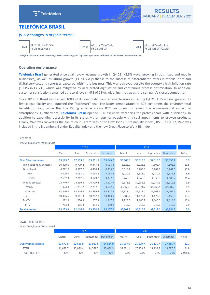<span id="page-25-0"></span>



# **TELEFÓNICA BRASIL**

# (y-o-y changes in organic terms)



**16%** of total Telefónica

of total Telefónica<br>FY 21 revenues **21%** FY 21 OIBDA

of total Telefónica<br>
FY 21 OIBDA<br>
FY 21 OIBDA-CapEx

Weights calculated with revenues, OIBDA underlying and CapEx (ex spectrum) with 50% of the VMO2 JV since June 2021

# **Operating performance**

**Telefónica Brasil** generated once again y-o-y revenue growth in Q4 21 (+2.8% y-o-y, growing in both fixed and mobile businesses), as well as OIBDA growth (+1.7% y-o-y) thanks to the success of differentiated offers in mobile, fibre and digital services, and synergies captured within the business. This was achieved despite the country's high inflation rate (10.1% in FY 21), which was mitigated by accelerated digitisation and continuous process optimisation. In addition, customer satisfaction remained at record levels (NPS of 23%), widening the gap vs. the company's closest competitor.

Since 2018, T. Brasil has derived 100% of its electricity from renewable sources. During Q4 21, T. Brasil inaugurated its first biogas facility and launched the "EcoSmart" seal. The latter demonstrates to B2B customers the environmental benefits of P&S, while the Eco Rating scheme allows B2C customers to review the environmental impact of smartphones. Furthermore, Telefónica Brasil opened 300 exclusive vacancies for professionals with disabilities, in addition to expanding accessibility in its stores via an app for people with visual impairments to browse products. Finally, Vivo was ranked as the top telco in Latam within the Dow Jones Sustainability Index (DJSI). In Q1 22, Vivo was included in the Bloomberg Gender-Equality Index and the new Great Place to Work B3 Index.

#### ACCESSES

*Unaudited figures (Thousands)* 2020 2021 March June September December March June September December % Chg Final Clients Accesses 93,173.2 92,103.6 93,811.5 95,145.0 95,900.8 96,813.8 97,516.6 98,853.2 3.9 Fixed telephony accesses 10,309.0 9,779.4 9,347.8 8,994.8 8,625.9 8,328.1 7,802.4 7,506.5 (16.5) Broadband 6,772.6 6,587.0 6,430.4 6,315.0 6,318.2 6,283.8 6,264.9 6,262.0 (0.8) UBB 5,026.7 5,033.1 5,054.8 5,084.2 5,220.1 5,313.0 5,430.1 5,535.3 8.9 FTTH 2,652.3 2,862.6 3,129.7 3,377.7 3,745.8 4,046.3 4,356.0 4,608.7 36.4 Mobile accesses 74,740.7 74,399.3 76,709.4 78,523.7 79,673.3 80,956.5 82,244.6 83,912.3 6.9 Prepay 31,023.8 31,291.2 32,757.1 33,662.5 33,668.8 33,871.7 34,163.4 34,287.3 1.9 Contract 33,310.3 33,246.8 33,689.5 34,418.2 35,321.4 35,911.4 36,608.6 37,166.7 8.0 IoT 10,406.6 9,861.3 10,262.8 10,443.0 10,683.2 11,173.4 11,472.6 12,458.3 19.3 Pay TV 1,282.9 1,270.3 1,257.8 1,247.7 1,223.5 1,186.2 1,144.6 1,114.8 (10.6) IPTV 753.3 805.3 854.5 913.9 918.6 917.8 916.8 2.9 Total Accesses 93,173.3 92,116.9 93,824.5 95,901.9 96,814.9 97,517.6 98,854.2 3.9

#### OWN UBB COVERAGE

*Unaudited figures (Thousands)*

|                            | 2020     |          |           |          |          |          |           |          |          |
|----------------------------|----------|----------|-----------|----------|----------|----------|-----------|----------|----------|
|                            | March    | June     | September | December | March    | June     | September | December | $%$ Chg  |
| <b>UBB Premises passed</b> | 21.677.8 | 22.626.8 | 23.927.6  | 24,514.0 | 25,057.9 | 25.609.7 | 26.371.7  | 27.485.7 | 12.1     |
| <b>FTTH</b>                | 11.689.7 | 13.086.4 | 14.588.5  | 15.696.9 | 16.291.1 | 17.309.5 | 18.316.5  | 19.587.6 | 24.8     |
| Up-Take FTTH               | 23%      | 22%      | 21%       | 22%      | 23%      | 23%      | 24%       | 24%      | 2.0 p.p. |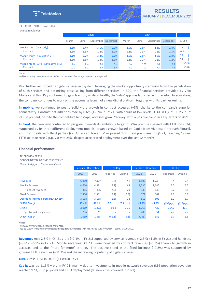

#### SELECTED OPERATIONAL DATA

*Unaudited figures*

|                                    | 2020  |      |           |          |       |      |           |          |            |
|------------------------------------|-------|------|-----------|----------|-------|------|-----------|----------|------------|
|                                    | March | June | September | December | March | June | September | December | $%$ Chg    |
| Mobile churn (quarterly)           | 3.1%  | 3.4% | 3.1%      | 2.9%     | 2.9%  | 2.9% | 2.8%      | 2.8%     | (0.2 p.p.) |
| Contract                           | 1.5%  | 1.5% | 1.2%      | 1.1%     | 1.1%  | 1.3% | 1.2%      | 1.3%     | 0.2 p.p.   |
| Mobile churn (cumulative YTD)      | 3.1%  | 3.2% | 3.2%      | 3.1%     | 2.9%  | 2.9% | 2.9%      | 2.8%     | (0.3 p.p.) |
| Contract                           | 1.5%  | 1.5% | 1.4%      | 1.3%     | 1.1%  | 1.2% | 1.2%      | 1.2%     | (0.1 p.p.) |
| Mobile ARPU (EUR) (cumulative YTD) | 5.7   | 5.1  | 4.9       | 4.7      | 4.0   | 4.0  | 4.1       | 4.2      | (3.9)      |
| Contract                           | 10.2  | 9.2  | 8.7       | 8.4      | 7.2   | 7.2  | 7.4       | 7.4      | (3.8)      |

*Notes:*

- ARPU: monthly average revenue divided by the monthly average accesses of the period.

Vivo further reinforced its digital services ecosystem, leveraging the market opportunity stemming from low penetration of such services and optimising cross selling from different services. In B2C, the financial services provided by Vivo Money and Vivo Pay continued to gain traction, while in health, the VidaV app was launched with Teladoc. In education, the company continues to work on the upcoming launch of a new digital platform together with its partner Anima.

In **mobile**, we continued to post a solid y-o-y growth in contract accesses (+8%) thanks to the company's superior connectivity. Contract net additions rose by  $0.6$ m (+2.7m in FY 21) with churn at low levels (1.3% in Q4 21, 1.2% in FY 21). In prepaid, despite the competitive landscape, accesses grow 2% y-o-y, with a positive trend in all quarters of 2021.

In fixed, the company continued to progress towards its ambitious target of 29m premises passed with FTTH by 2024, supported by its three different deployment models: organic growth based on CapEx from Vivo itself, through FiBrasil, and from deals with third parties (i.e. American Tower). Vivo passed 1.3m new premisses in Q4 21, reaching 19.6m. FTTH up-take rose 2 p.p. y-o-y to 24%, despite accelerated deployment over the last 12 months.

#### **Financial performance**

**TELEFÓNICA BRASIL** CONSOLIDATED INCOME STATEMENT

| Unaudited figures (Euros in millions) |                    |       |          |            |                    |       |            |            |
|---------------------------------------|--------------------|-------|----------|------------|--------------------|-------|------------|------------|
|                                       | January - December |       | % Chg    |            | October - December |       | $%$ Chg    |            |
|                                       | 2021               | 2020  | Reported | Organic    | 2021               | 2020  | Reported   | Organic    |
| <b>Revenues</b>                       | 6,910              | 7,422 | (6.9)    | 2.1        | 1,802              | 1,748 | 3.1        | 2.8        |
| <b>Mobile Business</b>                | 4,610              | 4,891 | (5.7)    | 3.4        | 1,230              | 1,186 | 3.7        | 3.7        |
| Handset revenues                      | 415                | 426   | (2.5)    | 6.9        | 138                | 130   | 6.2        | 8.8        |
| <b>Fixed Business</b>                 | 2,300              | 2,531 | (9.1)    | (0.3)      | 572                | 562   | 1.9        | 0.8        |
| Operating income before D&A (OIBDA)   | 3,138              | 3,188 | (1.6)    | 1.8        | 812                | 802   | 1.2        | 1.7        |
| <b>OIBDA Margin</b>                   | 45.4%              | 42.9% | 2.5 p.p. | (0.1 p.p.) | 45.1%              | 45.9% | (0.8 p.p.) | (0.5 p.p.) |
| CapEx                                 | 2,069              | 1,372 | 50.8     | 11.5       | 1,067              | 420   | 154.1      | (3.7)      |
| Spectrum & obligations                | 706                | 32    | n.s.     | n.s.       | 700                | 32    | n.s.       | n.s.       |
| OIBDA-CapEx                           | 1,069              | 1,815 | (41.1)   | (5.3)      | (255)              | 382   | C.S.       | 6.6        |

*Notes:*

*- OIBDA before management and brand fees.*

- Q3 21 OIBDA was positively impacted by capital gains related with the sale of 50% of FiBrasil (+€90m) in July 2021.

Revenues rose 2.8% in Q4 21 y-o-y (+2.1% in FY 21) supported by service revenue (+2.3%; +1.8% in FY 21) and handsets  $(+8.8\%; +6.9\%$  in FY 21). Mobile revenues  $(+3.7\%)$  were boosted by contract revenues  $(+5.3\%)$  thanks to growth in accesses and to the "more for more" strategy. The positive trend in the fixed business  $(+0.8%)$  was supported by growing FTTH revenues (+31.2%) and the increasing popularity of digital services.

#### **OIBDA** rose 1.7% in Q4 21 (+1.8% in FY 21).

CapEx was up 11.5% y-o-y in FY 21, mainly due to investments in mobile network coverage (LTE population coverage reached 97%, +3 p.p. y-o-y) and FTTH deployment (83 new cities covered in 2021).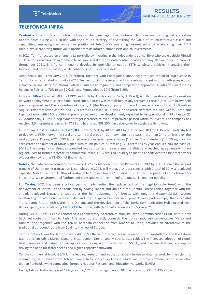

# <span id="page-27-0"></span>**TELEFÓNICA INFRA**

Telefónica Infra, T. Group's infrastructure portfolio manager, has continued to focus on pursuing value creation opportunities during 2021, in line with the Group's strategy of crystallising the value of its infrastructure assets and capabilities, improving the competitive position of Telefónica's operating business units by accelerating their FTTH rollout, while capturing future value upside from its infrastructure assets and co-investments.

In 2021, T. Infra focused on enlarging its portfolio by investing in the independent optical fibre wholesale vehicle FiBrasil in Q1 and by reaching an agreement to acquire a stake in the data centre service company Nabiax in Q2. In parallel, throughout 2021, T. Infra continued to develop its portfolio of neutral FTTH wholesale vehicles, increasing their footprint and premises passed, while enhancing Telxius' cable assets.

Additionally, on 1 February 2022, Telefónica, together with Pontegadea, announced the acquisition of KKR's stake in Telxius for an estimated amount of  $E215.7m$ , reinforcing the investment on a relevant asset with growth prospects at attractive terms. After the closing, which is subject to regulatory and competition approvals, T. Infra will increase its holding in Telxius to 70% (from 50.01%) and Pontegadea to 30% (from 9.99%).

In Brazil, FiBrasil (owned 50% by CDPQ and 25% by T. Infra and 25% by T. Brasil), is fully operational and focused on network deployment in selected mid-sized cities. FiBrasil was established in July through a carve out of 1.6m brownfield premises passed and the acquisition of Fiberty 1 (the fibre company formerly known as Phoenix Fiber do Brasil) in August. This transaction contributed 170k premises passed in 11 cities in the Brazilian states of Goias, Minas Gerais and Espirito Santo, with 310k additional premises passed under development, expected to be operational in 18 cities by Q1 22. Additionally, FiBrasil's deployment target increased to over 6m premises passed within four years. The company has reached 2.0m premisses passed in FY 21 and has raised BRL 550m in debentures to accelerate its rollout.

In Germany, Unsere Grüne Glasfaser (UGG) (owned 50% by Allianz, 40% by T. Infra, and 10% by T. Deutschland), started to deploy its FTTH network in rural and semi-rural areas in Germany, aiming to pass more than 2m premises over the next six years. During 2021, UGG launched operations in six federal states ("Länders") and, during Q4, UGG significantly accelerated the number of MoUs signed with municipalities, surpassing 170k premises by year-end, a c.70% increase vs. 9M 21. The company has already connected retail customers in several municipalities and reached agreements with two regional ISPs to further increase its commercial reach. UGG secured liquidity to meet its needs over the first three years of operation by raising  $£1.65$ bn of financing.

Nabiax, the data centre company to be owned 80% by Asterion Industrial Partners and 20% by T. Infra, once the second tranche of the on-going transaction is completed in 2022, will manage 14 data centres with a total of 39 MW deployed capacity. Nabiax secured €320m of sustainable "project finance" funding in 2021, with a price linked to three ESG indicators, two environmental (carbon emissions and water treatment) and one social (gender equality).

For Telxius, 2021 has been a critical year in implementing the replacement of the flagship cable SAm-1 with the deployment of Mistral in the Pacific and by adding Tannat and Junior in the Atlantic. These cables, together with the already deployed Brusa, are supporting the full replacement of SAm-1, with only the Guatemala-U.S. section outstanding. In addition, increased demand from Hyperscalers for new projects and partnerships, the successful Transatlantic Route, with Marea and Dunant, and the development of the Derio Communication Hub (located near Bilbao, Spain), are rebalancing Telxius Cable profile, with third party revenues of 65% in 2021.

During Q4 21, Telxius Cable reinforced its connectivity alternatives from its Derio Communications Hub, with a new backhaul route from Irun to Paris. This new route directly connects the transatlantic submarine cables Marea and Dunant, and, together with the Telxius backhaul connection from Madrid to Derio, provides an alternative to the traditional outbound route from Spain to the rest of Europe.

Telxius' network was the first to have a 400Gb/s Ethernet interface available on both the Transatlantic and the Latam-U.S. routes, including Marea, Dunant, Brusa, Junior, Tannat, and Mistral subsea cables. The increased adoption of cloudbased services and data-intensive applications, along with innovations in 5G, AI, and machine learning, are rapidly driving the need for faster speeds and higher-capacity bandwidth.

On the commercial front, GÉANT, the leading research and educational pan-European data network for the scientific community, will benefit from Telxius' connectivity services in Europe which will improve communication across the Iberian Peninsula while connecting Europe's National Research and Education Networks (NRENs).

Lastly, Telxius' traffic increased 12% y-o-y in Q4 21, from a high base in 2020 as a result of COVID-19's impact.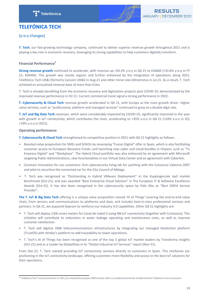



# <span id="page-28-0"></span>**TELEFÓNICA TECH**

(y-o-y changes)

**T. Tech**, our fast-growing technology company, continued to deliver superior revenue growth throughout 2021 and is playing a key role in economic recovery, leveraging its strong capabilities to help customers digitally transform.

# **Financial Performance<sup>5</sup>**

**Strong revenue growth** continued to accelerate, with revenue up +50.3% y-o-y in Q4 21 to €346M (+33.6% y-o-y in FY 21; €944M). This growth was mostly organic and further enhanced by the integration of operations along 2021, Telefónica Tech UK&I (formerly Cancom UK&I) in Aug-21 and other minor one (Altostratus in Jul-21. As a result, T. Tech achieved an annualised revenue base of more than €1bn.

T. Tech is already benefiting from the economic recovery and digitisation projects post COVID-19, demonstrated by the improved revenue performance in H2 21. Current commercial trend signal a strong performance in 2022.

**T.** Cybersecurity & Cloud Tech revenue growth accelerated in Q4 21, with Europe as the main growth driver. Higher value services, such as "professional, platform and managed services" continued to grow at a double-digit rate.

T. IoT and Big Data Tech revenues, which were considerably impacted by COVID-19, significantly improved in the year with growth in IoT connectivity, which contributes the most, accelerating to  $+35\%$  y-o-y in Q4 21 (+24% y-o-y in Q3; +19% y-o-y in 2021). 

## **Operating performance**

**T. Cybersecurity & Cloud Tech** strengthened its competitive position in 2021 with Q4 21 highlights as follows:

- Boosted value proposition for SMEs and SOHOs by revamping "Fusion Digital" offer in Spain, which is also facilitating customer access to European Recovery Funds; and launching new cyber and cloud bundles in Hispam, such as "Tu Empresa Digital" and "Workplace". The Hybrid Cloud portfolio was also enhanced by an agreement with Microsoft targeting Public Administrations, new functionalities in our Virtual Data Center and an agreement with CyberArk.
- Constant innovation for our customers: first cybersecurity living lab for yachting with the Consorcio Valencia 2007 and pilot to securitise the connected car for the City Council of Málaga.
- T. Tech was recognised as "Outstanding in Hybrid VMware Deployment" in the Kuppingercole laaS market benchmark (Oct-21), and was awarded "Best Enterprise Cloud Solution" in The European IT & Software Excellence Awards (Oct-21). It has also been recognised in the cybersecurity space by Palo Alto as "Best EMEA Service Provider".

**The T. IoT & Big Data Tech** offering is a unique value proposition named 'AI of Things' covering the end-to-end value chain, from sensors and communications to platforms and data, and includes best-in-class professional services and partners. In Q4 21, we acquired Geprom to reinforce our Industry 4.0 capabilities. Other Q4 21 highlights are:

- T. Tech will deploy 130k smart meters for Canal de Isabel II using NB-IoT connectivity (together with Contazara). This initiative will contribute to reductions in water leakage operating and maintenance costs, as well as improve customer satisfaction.
- T. Tech will digitise 200k telecommunications infrastructures by integrating our managed blockchain platform (TrustOS) with Atrebo's platform to add traceability to tower operations.
- T. Tech's AI of Things has been recognised as one of the top 3 global IoT market leaders by Transforma Insights (Oct-21) and as a Leader by GlobalData in its "Global Industrial IoT Services" report (Nov-21).

From Dec-21, T. Tech started providing IoT connectivity services directly to customers in Spain. This reinforces our positioning in the IoT connectivity landscape, offering customers more flexibility and access to the best IoT solutions for their operations.

<sup>&</sup>lt;sup>5</sup> "Telefónica Tech" revenue perimeter in 2021, for comparative purpose 2020 revenue refers to a proforma perimeter transferred from Telefonica carve-out process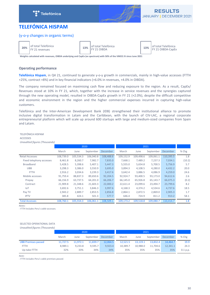



# <span id="page-29-0"></span>**TELEFÓNICA HISPAM**

# (y-o-y changes in organic terms)

**20%** of total Telefónica

13% of total Telefónica

of total Telefónica<br>
FY 21 OIBDA CapEx **13%** FY 21 OIBDA-CapEx

Weights calculated with revenues, OIBDA underlying and CapEx (ex spectrum) with 50% of the VMO2 JV since June 2021

# **Operating performance**

Telefónica Hispam, in Q4 21, continued to generate y-o-y growth in commercials, mainly in high-value accesses (FTTH +25%, contract +8%) and in key financial indicators (+6.0% in revenues, +4.0% in OIBDA).

The company remained focused on maximising cash flow and reducing exposure to the region. As a result, CapEx/ Revenues stood at 10% in FY 21, which, together with the increase in service revenues and the synergies captured through the new operating model, resulted in OIBDA-CapEx growth in FY 21 (+2.0%), despite the difficult competitive and economic environment in the region and the higher commercial expenses incurred in capturing high-value customers. 

Telefónica and the Inter-American Development Bank (IDB) strengthened their institutional alliance to promote inclusive digital transformation in Latam and the Caribbean, with the launch of CIV-LAC, a regional corporate entrepreneurial platform which will scale up around 600 startups with large and medium-sized companies from Spain and Latam. 

#### TELEFÓNICA HISPAM

# ACCESSES<br>Unaudited fi

| Unaudited figures (Thousands) |           |           |           |                 |           |           |           |           |        |
|-------------------------------|-----------|-----------|-----------|-----------------|-----------|-----------|-----------|-----------|--------|
|                               |           |           | 2020      |                 |           | 2021      |           |           |        |
|                               | March     | June      | September | <b>December</b> | March     | June      | September | December  | % Chg  |
| <b>Retail Accesses</b>        | 108,739.0 | 105,534.3 | 106,040.8 | 108,488.6       | 109,152.9 | 109,498.6 | 109,061.1 | 110,395.5 | 1.8    |
| Fixed telephony accesses      | 8,461.8   | 8,260.7   | 7,982.7   | 7,835.0         | 7,668.1   | 7,489.2   | 7,237.3   | 7,034.1   | (10.2) |
| <b>Broadband</b>              | 5,428.5   | 5,398.6   | 5,407.1   | 5,447.3         | 5,555.0   | 5,654.8   | 5,700.5   | 5,756.9   | 5.7    |
| <b>UBB</b>                    | 3,298.3   | 3,386.0   | 3,550.9   | 3,695.0         | 3,894.3   | 4,108.5   | 4,280.0   | 4,432.2   | 20.0   |
| <b>FTTH</b>                   | 2,916.2   | 3,034.6   | 3,239.3   | 3,417.6         | 3,642.4   | 3,886.5   | 4,086.9   | 4,259.0   | 24.6   |
| Mobile accesses               | 91,759.4  | 88,837.3  | 89,650.6  | 92,204.5        | 92,924.7  | 93,400.5  | 93,173.0  | 94,612.6  | 2.6    |
| Prepay                        | 66,156.9  | 63,737.5  | 64,201.0  | 66,206.7        | 66,145.0  | 65,926.8  | 65,143.7  | 66,075.3  | (0.2)  |
| Contract                      | 21,909.8  | 21,348.6  | 21,603.3  | 22,000.2        | 22,611.4  | 23,099.6  | 23,494.7  | 23,799.6  | 8.2    |
| <b>IoT</b>                    | 3,692.6   | 3,751.1   | 3,846.3   | 3,997.6         | 4,168.3   | 4,374.2   | 4,534.6   | 4,737.6   | 18.5   |
| Pay TV                        | 2,943.2   | 2,889.7   | 2,853.5   | 2,856.8         | 2,864.1   | 2,872.5   | 2,869.0   | 2,905.3   | 1.7    |
| <b>IPTV</b>                   | 385.8     | 424.1     | 501.3     | 577.7           | 646.4     | 724.9     | 811.2     | 913.2     | 58.1   |
| <b>Total Accesses</b>         | 108,760.1 | 105,554.3 | 106,061.1 | 108,509.1       | 109,173.2 | 109,518.8 | 109.080.7 | 110.414.7 | 1.8    |

*Notes:*

*- FTTH Includes Peru's cable accesses.*

## SELECTED OPERATIONAL DATA

*Unaudited figures (Thousands)*

|                            | 2020     |          |           |          |          |          |           |          |          |
|----------------------------|----------|----------|-----------|----------|----------|----------|-----------|----------|----------|
|                            | March    | June     | September | December | March    | June     | September | December | $%$ Chg  |
| <b>UBB Premises passed</b> | 11.727.5 | 11,972.1 | 11.839.7  | 12,064.5 | 12,521.5 | 13.119.1 | 13.832.4  | 14.464.7 | 19.9     |
| <b>FTTH</b>                | 8.989.1  | 9.233.8  | 9.595.7   | 9.923.4  | 10.389.7 | 10.988.0 | 11.704.6  | 12.341.1 | 24.3     |
| Up-take FTTH               | 32%      | 33%      | 34%       | 34%      | 35%      | 35%      | 35%       | 35%      | 0.1 p.p. |

*Note:*

*- FTTH includes Peru's cable premises passed.*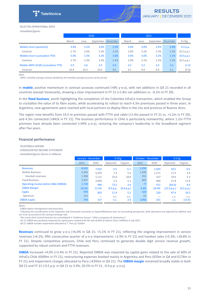

#### SELECTED OPERATIONAL DATA

*Unaudited figures* 

|                                    |       | 2020 |           |          |       | 2021 |           |          |            |  |
|------------------------------------|-------|------|-----------|----------|-------|------|-----------|----------|------------|--|
|                                    | March | June | September | December | March | June | September | December | $%$ Chg    |  |
| Mobile churn (quarterly)           | 3.4%  | 3.2% | 3.0%      | 2.5%     | 3.0%  | 3.0% | 3.5%      | 3.0%     | 0.5 p.p.   |  |
| Contract                           | 2.7%  | 2.0% | 2.5%      | 2.2%     | 2.0%  | 2.2% | 2.3%      | 2.3%     | (0.2 p.p.) |  |
| Mobile churn (cumulative YTD)      | 3.4%  | 3.3% | 3.2%      | 3.0%     | 3.0%  | 3.0% | 3.2%      | 3.1%     | (0.0 p.p.) |  |
| Contract                           | 2.7%  | 2.3% | 2.4%      | 2.3%     | 2.0%  | 2.1% | 2.2%      | 2.2%     | (0.2 p.p.) |  |
| Mobile ARPU (EUR) (cumulative YTD) | 3.9   | 3.6  | 3.5       | 3.4      | 3.2   | 3.2  | 3.3       | 3.3      | (1.3)      |  |
| Contract                           | 10.9  | 10.5 | 10.0      | 9.6      | 9.1   | 9.0  | 9.0       | 9.1      | (4.0)      |  |

*Note:*

- ARPU: monthly average revenue divided by the monthly average accesses of the period.

In **mobile**, positive momentum in contract accesses continued (+8% y-o-y), with net additions in Q4 21 recorded in all countries (except Venezuela), showing a clear improvement in FY 21 (+1.8m net additions vs. -0.2m in FY 20).

In the fixed business, worth highlighting the completion of the Colombia InfraCo transaction, which enabled the Group to crystallise the value of its fibre assets, while accelerating its rollout to reach 4.3m premisses passed in three years. In Argentina, new agreements were reached with local partners to deploy fibre in the city and province of Buenos Aires.

The region now benefits from 14.5 m premises passed with FTTH and cable (+2.4m passed in FY 21 vs. +1.2m in FY 20), and 4.3m connected (+841k in FY 21). The business performance in Chile is particularly noteworthy, where 1.2m FTTH premises have already been connected (+49% y-o-y), restoring the company's leadership in the broadband segment after five years.

#### **Financial performance**

**TELEFÓNICA HISPAM** CONSOLIDATED INCOME STATEMENT *Unaudited figures (Euros in millions)*

|                                                | January - December |       | % Chg    |            | October - December |       | % Chg       |            |
|------------------------------------------------|--------------------|-------|----------|------------|--------------------|-------|-------------|------------|
|                                                | 2021               | 2020  | Reported | Organic    | 2021               | 2020  | Reported    | Organic    |
| <b>Revenues</b>                                | 8,362              | 7,922 | 5.5      | 5.1        | 2,293              | 1,934 | 18.5        | 6.0        |
| <b>Mobile Business</b>                         | 5,444              | 5,070 | 7.4      | 5.4        | 1,490              | 1,271 | 17.3        | 3.4        |
| Handset revenues                               | 1,398              | 1,111 | 25.8     | 18.8       | 391                | 327   | 19.6        | 5.3        |
| <b>Fixed Business</b>                          | 2,907              | 2.836 | 2.5      | 5.1        | 803                | 660   | 21.8        | 11.8       |
| <b>Operating income before D&amp;A (OIBDA)</b> | 1,718              | 990   | 73.5     | 3.4        | 77                 | 471   | (83.6)      | 4.0        |
| <b>OIBDA Margin</b>                            | 20.5%              | 12.5% | 8.0 p.p. | (0.4 p.p.) | 3.4%               | 24.4% | (21.0 p.p.) | (0.5 p.p.) |
| <b>CapEx</b>                                   | 978                | 833   | 17.4     | 5.2        | 324                | 220   | 47.4        | 24.5       |
| Spectrum                                       | 131                | -     | n.S.     | n.s.       | (2)                |       | C.S.        | C.S.       |
| OIBDA-CapEx                                    | 740                | 157   | n.s.     | 2.0        | (246)              | 251   | C.S.        | (13.4)     |

*Notes:*

*- OIBDA before management and brand fees.*

- Following the consideration of the Argentine and Venezuela economies as hyperinflationary from an accounting perspective, both operations are adjusted by inflation and *are to be accounted at the closing exchange rate.* 

- The results from Central America are consolidated in Telefónica Group's "Other companies & eliminations".

*- Q3 21 OIBDA was positively impacted by capital gains related with the sale of 60% of InfraCo Chile (+€409m) in July 2021.*

*- Q4 21 OIBDA includes impairment allocated to T. Peru of -€393m.*

**Revenues** continued to grow y-o-y (+6.0% in Q4 21; +5.1% in FY 21), reflecting the ongoing improvement in service revenues (+6.2%; fifth consecutive quarter of y-o-y improvement; +2.9% in FY 21) and handset sales (+5.3%; +18.8% in FY 21). Despite competitive pressure, Chile and Peru continued to generate double digit service revenue growth, supported by robust contract and FTTH revenues.

**OIBDA** increased +4.0% (+3.4% in FY 21). Reported OIBDA was impacted by capital gains related to the sale of 60% of InfraCo Chile (€409m in FY 21), restructuring expenses booked mainly in Argentina and Peru (€50m in Q4 and €174m in FY 21) and impairment charges allocated to Peru (-€393m in Q4 21). The OIBDA margin remained broadly stable in both Q4 21 and FY 21 (-0.5 p.p. in Q4 21 to 3.4%; 20.5% in FY 21, -0.4 p.p. y-o-y).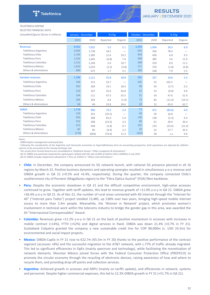

TELEFÓNICA HISPAM

SELECTED FINANCIAL DATA

| Unaudited figures (Euros in millions) | January - December |       | % Chg    |                          | <b>October - December</b> |       | $%$ Chg  |         |
|---------------------------------------|--------------------|-------|----------|--------------------------|---------------------------|-------|----------|---------|
|                                       | 2021               | 2020  | Reported | Organic                  | 2021                      | 2020  | Reported | Organic |
| <b>Revenues</b>                       | 8,362              | 7,922 | 5.5      | 5.1                      | 2,293                     | 1,934 | 18.5     | 6.0     |
| Telefónica Argentina                  | 2,056              | 1,738 | 18.2     | $\overline{\phantom{0}}$ | 635                       | 356   | 78.4     |         |
| Telefónica Chile                      | 1,769              | 1,585 | 11.6     | 10.2                     | 459                       | 430   | 6.8      | 9.5     |
| Telefónica Perú                       | 1,533              | 1,645 | (6.8)    | 7.4                      | 399                       | 385   | 3.6      | 11.0    |
| Telefónica Colombia                   | 1,312              | 1,249 | 5.0      | 10.7                     | 348                       | 319   | 8.9      | 11.2    |
| Telefónica México                     | 1,010              | 1,033 | (2.2)    | (3.8)                    | 271                       | 276   | (1.8)    | (4.8)   |
| Others & eliminations                 | 683                | 672   | 1.7      | 4.1                      | 182                       | 168   | 7.9      | 5.5     |
| <b>Handset revenues</b>               | 1,398              | 1,111 | 25.8     | 18.8                     | 391                       | 327   | 19.6     | 5.3     |
| Telefónica Argentina                  | 330                | 215   | 53.7     | $\overline{\phantom{0}}$ | 105                       | 52    | 102.5    |         |
| Telefónica Chile                      | 362                | 304   | 19.1     | 18.4                     | 90                        | 93    | (3.7)    | 0.2     |
| Telefónica Perú                       | 210                | 167   | 25.6     | 44.8                     | 52                        | 53    | (0.8)    | 9.0     |
| Telefónica Colombia                   | 164                | 111   | 47.5     | 55.5                     | 51                        | 34    | 47.6     | 51.9    |
| Telefónica México                     | 266                | 264   | 0.6      | (1.0)                    | 73                        | 82    | (11.4)   | (14.1)  |
| Others & eliminations                 | 66                 | 49    | 32.8     | 39.6                     | 20                        | 12    | 65.0     | 62.7    |
| <b>OIBDA</b>                          | 1,718              | 990   | 73.5     | 3.4                      | 77                        | 471   | (83.6)   | 4.0     |
| Telefónica Argentina                  | 229                | 355   | (35.5)   | $\overline{\phantom{0}}$ | 69                        | 59    | 16.8     |         |
| Telefónica Chile                      | 920                | 508   | 81.0     | 5.4                      | 130                       | 138   | (5.3)    | 6.4     |
| Telefónica Perú                       | 252                | 298   | (15.6)   | 3.3                      | 80                        | 61    | 30.9     | 36.4    |
| Telefónica Colombia                   | 413                | 438   | (5.8)    | 0.7                      | 102                       | 133   | (23.6)   | (21.4)  |
| Telefónica México                     | 82                 | 85    | (4.0)    | 2.2                      | 29                        | 22    | 27.7     | 34.3    |
| Others & eliminations                 | (176)              | (694) | (74.6)   | 11.3                     | (332)                     | 58    | C.S.     | 9.0     |

*Notes:*

*- OIBDA before management and brand fees.*

- Following the consideration of the Argentine and Venezuela economies as hyperinflationary from an accounting perspective, both operations are adjusted by inflation and are to be accounted at the closing exchange rate.

- The results from Central America are consolidated in Telefónica Group's "Other companies & eliminations".

*- Q3 21 OIBDA was positively impacted by capital gains related with the sale of 60% of InfraCo Chile (+€409m) in July 2021.*

*- Q4 21 OIBDA includes impairment allocated to T.Peru of -€393m in "Others and eliminations".*

- **Chile:** In December, the company announced its 5G network launch, with national 5G presence planned in all 16 regions by March 22. Positive business dynamics and operating synergies resulted in simultaneous y-o-y revenue and OIBDA growth in  $Q4$  21 (+9.5% and +6.4%, respectively). During the quarter, the company connected Chile's southernmost city of Porvenir (Magallanes region) to the "Fibra Optica Austral" (FOA) fibre backbone.
- **Peru:** Despite the economic slowdown in Q4 21 and the difficult competitive environment, high-value accesses continued to grow. Together with tariff updates, this lead to revenue growth of +11.0% y-o-y in Q4 21. OIBDA grew +36.4% y-o-y in Q4 21. As of Dec-21, the number of rural areas connected with 4G internet through the "Internet for All" ("Internet para Todos") project totalled 13,485, up 238% over two years, bringing high-speed mobile internet access to more than 2.4m people. Meanwhile, the 'Women in Network' project, which promotes women's involvement in technical work within the telecoms industry to bridge the gender gap in this area, was awarded the XII "Internacional Corresponsables" Award.
- **Colombia:** Revenues grew +11.2% y-o-y in Q4 21 on the back of positive momentum in accesses with increases in mobile contract  $(+14%)$ , FTTH  $(+52%)$  and digital services in fixed. OIBDA was down 21.4%  $(+0.7%$  in FY 21). Scotiabank Colpatria granted the company a new sustainable credit line for COP 98,000m (c. USD 24.5m) for environmental and social impact projects.
- **Mexico:** OIBDA-CapEx in FY 21 rose to €22.7m (€5.5m in FY 20) thanks to the positive performance of the contract segment (accesses +8%) and the successful migration to the AT&T network, with c.77% of traffic already migrated. This led to significant efficiencies in OpEx (mainly spectrum and technology), while facilitating the monetisation of network elements. Movistar México joined forces with the Federal Consumer Protection Office (PROFECO) to promote the circular economy through the recycling of electronic devices, raising awareness of how and where to recycle them, and providing drop-off points and collection services.
- Argentina: Achieved growth in accesses and ARPU (mainly on tariffs update), and efficiencies in network, systems and personnel. Despite higher commercial expenses, this led to 12.3% OIBDA growth in FY 21 (+51.7% in Q4 21).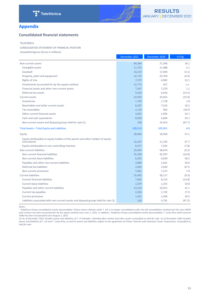

# <span id="page-32-0"></span>**Appendix**

# **Consolidated financial statements**

#### TELEFÓNICA

CONSOLIDATED STATEMENT OF FINANCIAL POSITION

*Unaudited figures (Euros in millions)*

|                                                                                                | December 2021 | December 2020 | % Chg  |
|------------------------------------------------------------------------------------------------|---------------|---------------|--------|
| Non-current assets                                                                             | 84,284        | 71,396        | 18.1   |
| Intangible assets                                                                              | 11,725        | 11,488        | 2.1    |
| Goodwill                                                                                       | 16,519        | 17,044        | (3.1)  |
| Property, plant and equipment                                                                  | 22,725        | 23,769        | (4.4)  |
| <b>Rights of Use</b>                                                                           | 7,579         | 4,982         | 52.1   |
| Investments accounted for by the equity method                                                 | 12,773        | 427           | n.s.   |
| Financial assets and other non-current assets                                                  | 7,347         | 7,270         | 1.1    |
| Deferred tax assets                                                                            | 5,616         | 6,416         | (12.5) |
| Current assets                                                                                 | 24,929        | 33,655        | (25.9) |
| Inventories                                                                                    | 1,749         | 1,718         | 1.8    |
| Receivables and other current assets                                                           | 8,287         | 7,523         | 10.2   |
| Tax receivables                                                                                | 2,120         | 902           | 134.9  |
| Other current financial assets                                                                 | 3,835         | 2,495         | 53.7   |
| Cash and cash equivalents                                                                      | 8,580         | 5,604         | 53.1   |
| Non-current assets and disposal groups held for sale (1)                                       | 358           | 15,413        | (97.7) |
| <b>Total Assets = Total Equity and Liabilities</b>                                             | 109,213       | 105,051       | 4.0    |
| Equity                                                                                         | 28,684        | 18,260        | 57.1   |
| Equity attributable to equity holders of the parent and other holders of equity<br>instruments | 22,207        | 11,235        | 97.7   |
| Equity attributable to non-controlling interests                                               | 6,477         | 7,025         | (7.8)  |
| Non-current liabilities                                                                        | 55,034        | 58,674        | (6.2)  |
| Non-current financial liabilities                                                              | 35,290        | 42,297        | (16.6) |
| Non-current lease liabilities                                                                  | 6,391         | 4,039         | 58.2   |
| Payables and other non-current liabilities                                                     | 3,089         | 2,561         | 20.6   |
| Deferred tax liabilities                                                                       | 2,602         | 2,620         | (0.7)  |
| Non-current provisions                                                                         | 7,662         | 7,157         | 7.0    |
| <b>Current liabilities</b>                                                                     | 25,495        | 28,117        | (9.3)  |
| <b>Current financial liabilities</b>                                                           | 7,005         | 8,123         | (13.8) |
| <b>Current lease liabilities</b>                                                               | 1,679         | 1,255         | 33.8   |
| Payables and other current liabilities                                                         | 13,210        | 10,912        | 21.1   |
| Current tax payables                                                                           | 2,026         | 1,732         | 17.0   |
| Current provisions                                                                             | 1,441         | 1,304         | 10.5   |
| Liabilities associated with non-current assets and disposal groups held for sale (1)           | 134           | 4,791         | (97.2) |

*Notes:*

- Telefónica Group consolidated results deconsolidate Telxius towers division while T. UK is no longer consolidated under the full consolidation method and the new VMO2 *joint venture has been accounted for by the equity method since June 1, 2021. In addition, Telefónica Group consolidated results deconsolidate T. Costa Rica while Cancom*  UK&I has been incorporated since August 1, 2021.

*(1) As of December 2021 includes assets and liabilities of T. El Salvador, Colombia fibre vehicle and other assets reclassified as held for sale. As of December 2020 includes*  assets and liabilities of T. UK and T. Costa Rica, as well as assets and liabilities subject to the agreement of Telxius Telecom with American Tower Corporation, reclassified as *held for sale.*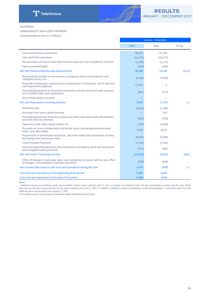

#### TELEFÓNICA

#### CONSOLIDATED CASH FLOW STATEMENT

*Unaudited figures (Euros in millions)*

|                                                                                                                                          | January - December |                |             |
|------------------------------------------------------------------------------------------------------------------------------------------|--------------------|----------------|-------------|
|                                                                                                                                          | 2021               | 2020           | % Chg       |
| Cash received from operations                                                                                                            | 46,415             | 51,353         |             |
| Cash paid from operations                                                                                                                | (34, 379)          | (36, 477)      |             |
| Net payments of interest and other financial expenses net of dividends received                                                          | (1, 309)           | (1, 171)       |             |
| Taxes proceeds/(paid)                                                                                                                    | (459)              | (509)          |             |
| Net cash flow provided by operating activities                                                                                           | 10,268             | 13,196         | (22.2)      |
| (Payments)/proceeds on investments in property, plant and equipment and<br>intangible assets, net                                        | (6, 164)           | (7,020)        |             |
| Proceeds on disposals/ (payments on investments) in companies, net of cash and<br>cash equivalents disposed                              | 12,955             | $\overline{2}$ |             |
| Proceeds/(payments) on financial investments and placements of cash surpluses<br>not included under cash equivalents                     | (895)              | (772)          |             |
| Government grants received                                                                                                               |                    |                |             |
| Net cash flow used in investing activities                                                                                               | 5,896              | (7, 791)       | C.S.        |
| Dividends paid                                                                                                                           | (3,630)            | (1,296)        |             |
| Proceeds from share capital increase                                                                                                     |                    | 323            |             |
| Proceeds/(payments) of treasury shares and other operations with shareholders<br>and with minority interests                             | (604)              | (223)          |             |
| Operations with other equity holders (1)                                                                                                 | (354)              | (1,020)        |             |
| Proceeds on issue of debentures and bonds, loans, borrowing and promissory<br>notes, and other debts                                     | 3,646              | 8,527          |             |
| Repayments of debentures and bonds, and other debts and repayments of loans,<br>borrowings and promissory notes                          | (9,993)            | (9,580)        |             |
| <b>Lease Principal Payments</b>                                                                                                          | (1,782)            | (1,787)        |             |
| Financed operating payments and investments in property, plant and equipment<br>and intangible assets payments                           | (273)              | (382)          |             |
| Net cash used in financing activities                                                                                                    | (12,990)           | (5,437)        | 138.9       |
| Effect of changes in exchange rates, cash reclassified to assets held for sale, effect<br>of changes in consolidation methods and others | (198)              | (406)          |             |
| Net increase (decrease) in cash and cash equivalents during the year                                                                     | 2,976              | (438)          | <b>C.S.</b> |
| Cash and cash equivalents at the beginning of the period                                                                                 | 5,604              | 6,042          |             |
| Cash and cash equivalents at the end of the period                                                                                       | 8.580              | 5.604          |             |

*Notes:*

-------<br>- Telefónica Group consolidated results deconsolidate Telxius towers division while T. UK is no longer consolidated under the full consolidation method and the new VMO2 joint venture has been accounted for by the equity method since June 1, 2021. In addition, Telefónica Group consolidated results deconsolidate T. Costa Rica while Cancom UK&I has been incorporated since August 1, 2021.

(1) Includes issuance and coupons of undated deeply subordinated securities.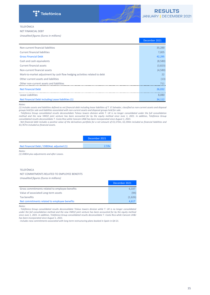

## TELEFÓNICA

NET FINANCIAL DEBT *Unaudited figures (Euros in millions)*

|                                                                           | December 2021 |
|---------------------------------------------------------------------------|---------------|
| Non-current financial liabilities                                         | 35,290        |
| <b>Current financial liabilities</b>                                      | 7,005         |
| <b>Gross Financial Debt</b>                                               | 42,295        |
| Cash and cash equivalents                                                 | (8,580)       |
| <b>Current financial assets</b>                                           | (3,823)       |
| Non-current financial assets                                              | (4,580)       |
| Mark-to-market adjustment by cash flow hedging activities related to debt | 22            |
| Other current assets and liabilities                                      | (13)          |
| Other non-current assets and liabilities                                  | 711           |
| <b>Net Financial Debt</b>                                                 | 26,032        |
| Lease Liabilities                                                         | 8,080         |
| Net Financial Debt including Lease liabilities (1)                        | 34,112        |

#### *Notes:*

*(1)* Includes assets and liabilities defined as net financial debt including lease liabilities of T. El Salvador, classified as non-current assets and disposal *groups held for sale and liabilities associated with non-current assets and disposal groups held for sale.*

- Telefónica Group consolidated results deconsolidate Telxius towers division while T. UK is no longer consolidated under the full consolidation *method* and the new VMO2 joint venture has been accounted for by the equity method since June 1, 2021. In addition, Telefónica Group *consolidated results deconsolidate T. Costa Rica while Cancom UK&I has been incorporated since August 1, 2021.* 

**-** Net financial debt includes a positive value of the derivatives portfolio for a net amount of €1,573m, €2,194m included as financial liabilities and *€3,767m included as financial assets.*

|                                           | December 2021     |
|-------------------------------------------|-------------------|
| Net Financial Debt / OIBDAaL adjusted (1) | 2.59 <sub>i</sub> |

*Notes:*

*(1) OIBDA plus adjustments and after Leases.*

#### TELEFÓNICA

#### NET COMMITMENTS RELATED TO EMPLOYEE BENEFITS

*Unaudited figures (Euros in millions)*

|                                                | December 2021 |
|------------------------------------------------|---------------|
| Gross commitments related to employee benefits | 6.337         |
| Value of associated Long-term assets           | (94)          |
| Tax benefits                                   | (1,626)       |
| Net commitments related to employee benefits   | 4.617         |
|                                                |               |

*Notes:*

- Telefónica Group consolidated results deconsolidate Telxius towers division while T. UK is no longer consolidated *under* the full consolidation method and the new VMO2 joint venture has been accounted for by the equity method since June 1, 2021. In addition, Telefónica Group consolidated results deconsolidate T. Costa Rica while Cancom UK&I has been incorporated since August 1, 2021.

- Includes new commitments associated with long-term restructuring plans booked in Spain in Q4 21.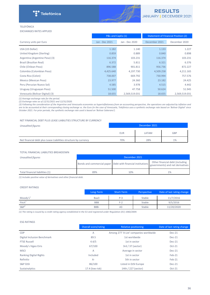

# TELEFÓNICA

EXCHANGES RATES APPLIED

|                                 | P&L and CapEx (1) |                |               | <b>Statement of Financial Position (2)</b> |
|---------------------------------|-------------------|----------------|---------------|--------------------------------------------|
| Currency units per Euro         | Jan - Dec 2021    | Jan - Dec 2020 | December 2021 | December 2020                              |
| USA (US Dollar)                 | 1.182             | 1.140          | 1.133         | 1.227                                      |
| United Kingdom (Sterling)       | 0.859             | 0.889          | 0.840         | 0.898                                      |
| Argentina (Argentine Peso) (3)  | 116.374           | 103.231        | 116.374       | 103.231                                    |
| Brazil (Brazilian Real)         | 6.372             | 5.811          | 6.321         | 6.376                                      |
| Chile (Chilean Peso)            | 896.588           | 901.811        | 956.736       | 872.227                                    |
| Colombia (Colombian Peso)       | 4,425.640         | 4,197.730      | 4,509.258     | 4,211.165                                  |
| Costa Rica (Colon)              | 738.007           | 669.792        | 730.994       | 757.576                                    |
| Mexico (Mexican Peso)           | 23.977            | 24.360         | 23.182        | 24.425                                     |
| Peru (Peruvian Nuevo Sol)       | 4.585             | 3.978          | 4.515         | 4.442                                      |
| Uruguay (Uruguayan Peso)        | 51.500            | 47.758         | 50.624        | 51.945                                     |
| Venezuela (Bolivar Digital) (3) | 18.655            | 2,569,519.031  | 18.655        | 2,569,519.031                              |

*(1)* Average exchange rate for the period.

*(2) Exchange rates as of 12/31/2021 and 12/31/2020.*

(3) Following the consideration of the Argentine and Venezuela economies as hyperinflationary from an accounting perspective, the operations are adjusted by inflation and are to be accounted at their corresponding closing exchange vs. the Euro (in the case of Venezuela, Telefónica uses a synthetic exchange rate based on 'Bolivar Digital' since *October 2021. For prior periods, the synthetic exchange rate used is based on 'Bolivar Soberano').* 

#### NET FINANCIAL DEBT PLUS LEASE LIABILITIES STRUCTURE BY CURRENCY

| Unaudited figures                                               | December 2021 |       |            |
|-----------------------------------------------------------------|---------------|-------|------------|
|                                                                 | <b>EUR</b>    | LATAM | <b>GBP</b> |
| Net financial debt plus Lease Liabilities structure by currency | 70%           | 28%   | 1%         |

#### TOTAL FINANCIAL LIABILITIES BREAKDOWN

| Unaudited figures               | December 2021 |     |                                                                                                                                           |  |  |
|---------------------------------|---------------|-----|-------------------------------------------------------------------------------------------------------------------------------------------|--|--|
|                                 |               |     | Other financial debt (including<br>[Bonds and commercial paper Debt with financial institutions   Sure minimum season and net derivatives |  |  |
| Total financial liabilities (1) | 89%           | 10% | 1%                                                                                                                                        |  |  |

(1) Includes positive value of derivatives and other financial debt.

## CREDIT RATINGS

|                    | Long-Term  | Short-Term     | Perspective | Date of last rating change |
|--------------------|------------|----------------|-------------|----------------------------|
| $M$ oody's $1$     | Baa3       | $P-3$          | Stable      | 11/7/2016                  |
| Fitch <sup>1</sup> | <b>BBB</b> | $F-2$          | Stable      | 9/5/2016                   |
| $S\&P^1$           | BBB-       | A <sub>3</sub> | Stable      | 11/20/2020                 |

(1) The rating is issued by a credit rating agency established in the EU and registered under Regulation (EC) 1060/2009.

#### ESG RATINGS

|                               | Overall score/rating | Relative positioning                   | Date of last rating change |
|-------------------------------|----------------------|----------------------------------------|----------------------------|
| <b>CDP</b>                    | $\overline{A}$       | Among 277 'A List' companies worldwide | Dec-21                     |
| Digital Inclusion Benchmark   | 89.5                 | 1st worldwide                          | $Dec-21$                   |
| <b>FTSE Russell</b>           | 4.4/5                | 1st in sector                          | $Dec-21$                   |
| Moody's Vigeo Eiris           | 67/100               | 3rd / 37 (sector)                      | $Oct-21$                   |
| <b>MSCI</b>                   | A                    | Average in sector                      | $Dec-21$                   |
| <b>Ranking Digital Rights</b> | Included             | 1st in sector                          | $Feb-21$                   |
| Refinitiv                     | $A -$                | 5th in sector                          | $Feb-21$                   |
| <b>S&amp;P DJSI</b>           | 86/100               | Listed in DJSI Europe                  | Dec-21                     |
| Sustainalytics                | 17.4 (low risk)      | 14th / 227 (sector)                    | $Oct-21$                   |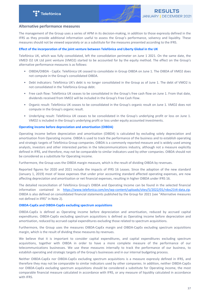

## <span id="page-36-0"></span>**Alternative performance measures**

The management of the Group uses a series of APM in its decision-making, in addition to those expressly defined in the IFRS as they provide additional information useful to assess the Group's performance, solvency and liquidity. These measures should not be viewed separately or as a substitute for the measures presented according to the IFRS.

#### **Effect of the incorporation of the joint venture between Telefónica and Liberty Global in the UK**

Telefónica UK, which was fully consolidated, left the consolidation perimeter on June 1 2021. On the same date, the VMED O2 UK Ltd joint venture (VMO2) started to be accounted for by the equity method. The effect on the Group's alternative performance measures is as follows:

- OIBDA/OIBDA CapEx: Telefónica UK ceased to consolidate in Group OIBDA on June 1. The OIBDA of VMO2 does not compute in the Group's consolidated OIBDA.
- Debt indicators: Telefónica UK's debt is no longer consolidated in the Group as of June 1. The debt of VMO2 is not consolidated in the Telefónica Group debt.
- Free cash flow: Telefónica UK ceases to be consolidated in the Group's free cash flow on June 1. From that date, dividends received from VMO2 will be included in the Group's Free Cash Flow.
- Organic result: Telefónica UK ceases to be consolidated in the Group's organic result on June 1. VMO2 does not compute in the Group's organic result.
- Underlying result: Telefónica UK ceases to be consolidated in the Group's underlying profit or loss on June 1. VMO2 is included in the Group's underlying profit or loss under equity accounted investments.

#### **Operating income before depreciation and amortisation (OIBDA)**

Operating income before depreciation and amortisation (OIBDA) is calculated by excluding solely depreciation and amortisation from Operating income. OIBDA is used to track the performance of the business and to establish operating and strategic targets of Telefónica Group companies. OIBDA is a commonly reported measure and is widely used among analysts, investors and other interested parties in the telecommunications industry, although not a measure explicitly defined in IFRS, and therefore, may not be comparable to similar indicators used by other companies. OIBDA should not be considered as a substitute for Operating income.

Furthermore, the Group uses the OIBDA margin measure, which is the result of dividing OIBDA by revenues.

Reported figures for 2020 and 2021 include the impacts of IFRS 16 Leases. Since the adoption of the new standard (January 1, 2019) most of lease expenses that under prior accounting standard affected operating expenses, are now affecting depreciation and amortisation or net financial expenses, resulting in higher OIBDA under IFRS 16.

The detailed reconciliation of Telefónica Group's OIBDA and Operating Income can be found in the selected financial information contained in <https://www.telefonica.com/en/wp-content/uploads/sites/5/2022/01/rdos21t4-data.zip>. OIBDA is also defined on consolidated financial statements published by the Group for 2021 (see "Alternative measures not defined in IFRS" in Note 2).

#### **OIBDA-CapEx and OIBDA-CapEx excluding spectrum acquisitions**

OIBDA-CapEx is defined as Operating income before depreciation and amortisation, reduced by accrued capital expenditures. OIBDA-CapEx excluding spectrum acquisitions is defined as Operating income before depreciation and amortisation, reduced by accrued capital expenditures excluding those related to spectrum acquisitions.

Furthermore, the Group uses the measures OIBDA-CapEx margin and OIBDA-CapEx excluding spectrum acquisitions margin, which is the result of dividing these measures by revenues.

We believe that it is important to consider capital expenditures, and capital expenditures excluding spectrum acquisitions, together with OIBDA in order to have a more complete measure of the performance of our telecommunications businesses. We use these measures internally to track the performance of our business, to establish operating and strategic targets of the Group's businesses and in our internal budgeting process.

Neither OIBDA-CapEx nor OIBDA-CapEx excluding spectrum acquisitions is a measure expressly defined in IFRS, and therefore they may not be comparable to similar indicators used by other companies. In addition, neither OIBDA-CapEx nor OIBDA-CapEx excluding spectrum acquisitions should be considered a substitute for Operating income, the most comparable financial measure calculated in accordance with IFRS, or any measure of liquidity calculated in accordance with IFRS.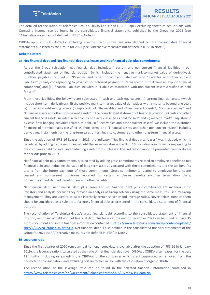

The detailed reconciliation of Telefónica Group's OIBDA-CapEx and OIBDA-CapEx excluding spectrum acquisitions with Operating Income, can be found in the consolidated financial statements published by the Group for 2021 (see "Alternative measures not defined in IFRS" in Note 2).

OIBDA-CapEx and OIBDA-CapEx excluding spectrum acquisitions are also defined on the consolidated financial statements published by the Group for 2021 (see "Alternative measures not defined in IFRS" in Note 2).

#### **Debt indicators**

#### a) Net financial debt and Net financial debt plus leases and Net financial debt plus commitments

As per the Group calculation, net financial debt includes: i) current and non-current financial liabilities in our consolidated statement of financial position (which includes the negative mark-to-market value of derivatives), ii) other payables included in "Payables and other non-current liabilities" and "Payables and other current liabilities" (mainly corresponding to payables for deferred payment of radio spectrum that have an explicit financial component) and (iii) financial liabilities included in "Liabilities associated with non-current assets classified as held for sale".

From these liabilities, the following are subtracted: i) cash and cash equivalents, ii) current financial assets (which include short-term derivatives), iii) the positive mark-to-market value of derivatives with a maturity beyond one year, iv) other interest-bearing assets (components of "Receivables and other current assets", "Tax receivables" and "Financial assets and other non-current assets" in the consolidated statement of financial position),  $v$ ) cash and other current financial assets included in "Non-current assets classified as held for sale" and vi) mark-to-market adjustment by cash flow hedging activities related to debt. In "Receivables and other current assets" we include the customer financing of terminal sales classified as short term, and "Financial assets and other non-current assets" includes derivatives, instalments for the long-term sales of terminals to customers and other long-term financial assets.

Since the adoption of IFRS 16 Leases in 2019, the indicator "Net financial debt plus leases" was included, which is calculated by adding to the net financial debt the lease liabilities under IFRS 16 (including also those corresponding to the companies held for sale) and deducting assets from subleases. This indicator cannot be presented comparatively for periods prior to 2019.

Net financial debt plus commitments is calculated by adding gross commitments related to employee benefits to net financial debt and deducting the value of long-term assets associated with those commitments and the tax benefits arising from the future payments of those commitments. Gross commitments related to employee benefits are current and non-current provisions recorded for certain employee benefits such as termination plans, post-employment defined benefit plans and other benefits.

Net financial debt, net financial debt plus leases and net financial debt plus commitments are meaningful for investors and analysts because they provide an analysis of Group solvency using the same measures used by Group management. They are used to calculate internally certain solvency and leverage ratios. Nevertheless, none of them should be considered as a substitute for gross financial debt as presented in the consolidated statement of financial position.

The reconciliation of Telefónica Group's gross financial debt according to the consolidated statement of financial position, net financial debt and net financial debt plus leases at the end of December 2021 can be found on page 35 of this document and in the financial information contained in [https://www.telefonica.com/en/wp-content/uploads/](https://www.telefonica.com/en/wp-content/uploads/sites/5/2022/01/rdos21t4-data.zip) [sites/5/2022/01/rdos21t4-data.zip.](https://www.telefonica.com/en/wp-content/uploads/sites/5/2022/01/rdos21t4-data.zip) Net financial debt is also defined in the consolidated financial statements of the Group for 2021 (see "Alternative measures not defined in IFRS" in Note 2.

#### **b)** Leverage ratio

Since the first quarter of 2020 (once annual homogeneous data is available after the adoption of IFRS 16 in January 2019), the leverage ratio is calculated as the ratio of net financial debt over OIBDAaL (OIBDA after leases) for the past 12 months, including or excluding the OIBDAaL of the companies which are incorporated or removed from the perimeter of consolidation, and excluding certain factors in line with the calculation of organic OIBDA.

The reconciliation of the leverage ratio can be found in the selected financial information contained in <https://www.telefonica.com/en/wp-content/uploads/sites/5/2022/01/rdos21t4-data.zip>.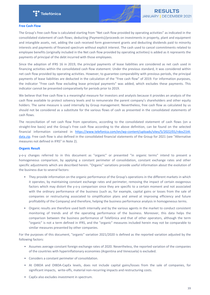

#### **Free Cash Flow**

The Group's free cash flow is calculated starting from "Net cash flow provided by operating activities" as indicated in the consolidated statement of cash flows; deducting (Payments)/proceeds on investments in property, plant and equipment and intangible assets, net, adding the cash received form government grants and deducting dividends paid to minority interests and payments of financed spectrum without explicit interest. The cash used to cancel commitments related to employee benefits (originally included in the Net cash flow provided by operating activities) is added as it represents the payments of principal of the debt incurred with those employees.

Since the adoption of IFRS 16 in 2019, the principal payments of lease liabilities are considered as net cash used in financing activities within the consolidated cash flow statement. Under the previous standard, it was considered within net cash flow provided by operating activities. However, to guarantee comparability with previous periods, the principal payments of lease liabilities are deducted in the calculation of the "Free cash flow" of 2019. For information purposes, the indicator "Free cash flow excluding lease principal payments" was added, which excludes these payments. This indicator cannot be presented comparatively for periods prior to 2019.

We believe that free cash flow is a meaningful measure for investors and analysts because it provides an analysis of the cash flow available to protect solvency levels and to remunerate the parent company's shareholders and other equity holders. The same measure is used internally by Group management. Nevertheless, free cash flow as calculated by us should not be considered as a substitute for the various flows of cash as presented in the consolidated statements of cash flows.

The reconciliation of net cash flow from operations, according to the consolidated statement of cash flows (on a straight-line basis) and the Group's Free cash flow according to the above definition, can be found on the selected financial information contained in [https://www.telefonica.com/en/wp-content/uploads/sites/5/2022/01/rdos21t4](https://www.telefonica.com/en/wp-content/uploads/sites/5/2022/01/rdos21t4-data.zip) [data.zip](https://www.telefonica.com/en/wp-content/uploads/sites/5/2022/01/rdos21t4-data.zip). Free cash flow is also defined in the consolidated financial statements of the Group for 2021 (see "Alternative measures not defined in IFRS" in Note 2).

#### **Organic Result**

y-o-y changes referred to in this document as "organic" or presented "in organic terms" intend to present a homogeneous comparison, by applying a constant perimeter of consolidation, constant exchange rates and other specific adjustments which are described herein. "Organic" variations provide useful information about the evolution of the business due to several factors:

- They provide information on the organic performance of the Group's operations in the different markets in which it operates, by maintaining constant exchange rates and perimeter, removing the impact of certain exogenous factors which may distort the y-o-y comparison since they are specific to a certain moment and not associated with the ordinary performance of the business (such as, for example, capital gains or losses from the sale of companies or restructuring associated to simplification plans and aimed at improving efficiency and future profitability of the Company) and therefore, helping the business performance analysis in homogeneous terms.
- Organic results are therefore used both internally and by the various agents in the market to conduct consistent monitoring of trends and of the operating performance of the business. Moreover, this data helps the comparison between the business performance of Telefónica and that of other operators, although the term "organic" is not a term defined in IFRS, and the "organic" measures included herein may not be comparable to similar measures presented by other companies.

For the purposes of this document, "organic" variation 2021/2020 is defined as the reported variation adjusted by the following factors:

- Assumes average constant foreign exchange rates of 2020. Nevertheless, the reported variation of the companies of the countries with hyperinflationary economies (Argentina and Venezuela) is excluded.
- Considers a constant perimeter of consolidation.
- At OIBDA and OIBDA-CapEx levels, does not include capital gains/losses from the sale of companies, for significant impacts, write-offs, material non-recurring impacts and restructuring costs.
- CapEx also excludes investment in spectrum.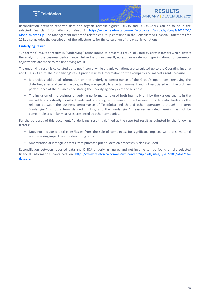

Reconciliation between reported data and organic revenue figures, OIBDA and OIBDA-CapEx can be found in the selected financial information contained in [https://www.telefonica.com/en/wp-content/uploads/sites/5/2022/01/](https://www.telefonica.com/en/wp-content/uploads/sites/5/2022/01/rdos21t4-data.zip) [rdos21t4-data.zip.](https://www.telefonica.com/en/wp-content/uploads/sites/5/2022/01/rdos21t4-data.zip) The Management Report of Telefónica Group contained in the Consolidated Financial Statements for 2021 also includes the description of the adjustments for the calculation of the organic variations.

## **Underlying Result**

"Underlying" result or results in "underlying" terms intend to present a result adjusted by certain factors which distort the analysis of the business performance. Unlike the organic result, no exchange rate nor hyperinflation, nor perimeter adjustments are made to the underlying result.

The underlying result is calculated up to net income, while organic variations are calculated up to the Operating income and OIBDA - CapEx. The "underlying" result provides useful information for the company and market agents because:

- It provides additional information on the underlying performance of the Group's operations, removing the distorting effects of certain factors, as they are specific to a certain moment and not associated with the ordinary performance of the business, facilitating the underlying analysis of the business.
- The inclusion of the business underlying performance is used both internally and by the various agents in the market to consistently monitor trends and operating performance of the business; this data also facilitates the relation between the business performance of Telefónica and that of other operators, although the term "underlying" is not a term defined in IFRS, and the "underlying" measures included herein may not be comparable to similar measures presented by other companies.

For the purposes of this document, "underlying" result is defined as the reported result as adjusted by the following factors:

- Does not include capital gains/losses from the sale of companies, for significant impacts, write-offs, material non-recurring impacts and restructuring costs.
- Amortisation of intangible assets from purchase price allocation processes is also excluded.

Reconciliation between reported data and OIBDA underlying figures and net income can be found on the selected financial information contained on [https://www.telefonica.com/en/wp-content/uploads/sites/5/2022/01/rdos21t4](https://www.telefonica.com/en/wp-content/uploads/sites/5/2022/01/rdos21t4-data.zip) [data.zip](https://www.telefonica.com/en/wp-content/uploads/sites/5/2022/01/rdos21t4-data.zip).